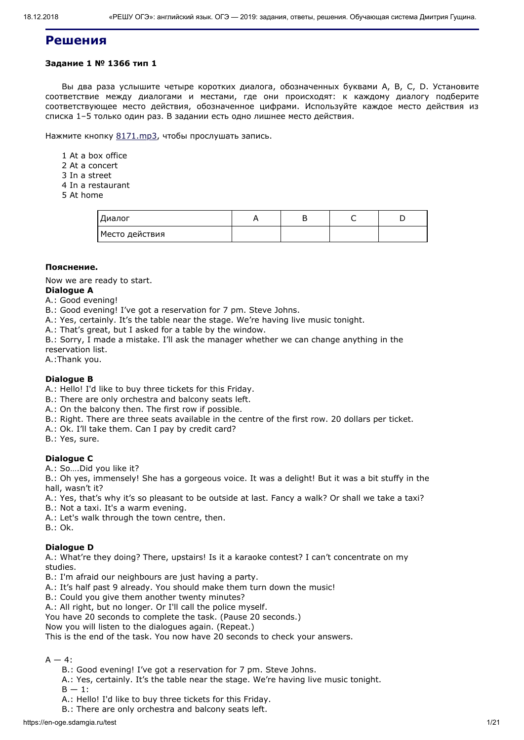# **Решения**

## **Задание 1 № 1366 тип 1**

Вы два раза услышите четыре коротких диалога, обозначенных буквами А, B, C, D. Установите соответствие между диалогами и местами, где они происходят: к каждому диалогу подберите соответствующее место действия, обозначенное цифрами. Используйте каждое место действия из списка 1–5 только один раз. В задании есть одно лишнее место действия.

Нажмите кнопку [8171.mp3](https://en-oge.sdamgia.ru/files/8171.mp3), чтобы прослушать запись.

1 At a box office

- 2 At a concert
- 3 In a street
- 4 In a restaurant
- 5 At home

| Диалог         |  |  |
|----------------|--|--|
| Место действия |  |  |

## **Пояснение.**

Now we are ready to start.

#### **Dialogue A**

A.: Good evening!

B.: Good evening! I've got a reservation for 7 pm. Steve Johns.

- A.: Yes, certainly. It's the table near the stage. We're having live music tonight.
- A.: That's great, but I asked for a table by the window.

B.: Sorry, I made a mistake. I'll ask the manager whether we can change anything in the reservation list.

A.:Thank you.

## **Dialogue B**

- A.: Hello! I'd like to buy three tickets for this Friday.
- B.: There are only orchestra and balcony seats left.
- A.: On the balcony then. The first row if possible.
- B.: Right. There are three seats available in the centre of the first row. 20 dollars per ticket.
- A.: Ok. I'll take them. Can I pay by credit card?
- B.: Yes, sure.

## **Dialogue C**

A.: So….Did you like it?

B.: Oh yes, immensely! She has a gorgeous voice. It was a delight! But it was a bit stuffy in the hall, wasn't it?

A.: Yes, that's why it's so pleasant to be outside at last. Fancy a walk? Or shall we take a taxi?

- B.: Not a taxi. It's a warm evening.
- A.: Let's walk through the town centre, then.
- B.: Ok.

## **Dialogue D**

A.: What're they doing? There, upstairs! Is it a karaoke contest? I can't concentrate on my studies.

B.: I'm afraid our neighbours are just having a party.

- A.: It's half past 9 already. You should make them turn down the music!
- B.: Could you give them another twenty minutes?

A.: All right, but no longer. Or I'll call the police myself.

You have 20 seconds to complete the task. (Pause 20 seconds.)

Now you will listen to the dialogues again. (Repeat.)

This is the end of the task. You now have 20 seconds to check your answers.

 $A - 4:$ 

- B.: Good evening! I've got a reservation for 7 pm. Steve Johns.
- A.: Yes, certainly. It's the table near the stage. We're having live music tonight.
- $B 1$ :
- A.: Hello! I'd like to buy three tickets for this Friday.

B.: There are only orchestra and balcony seats left.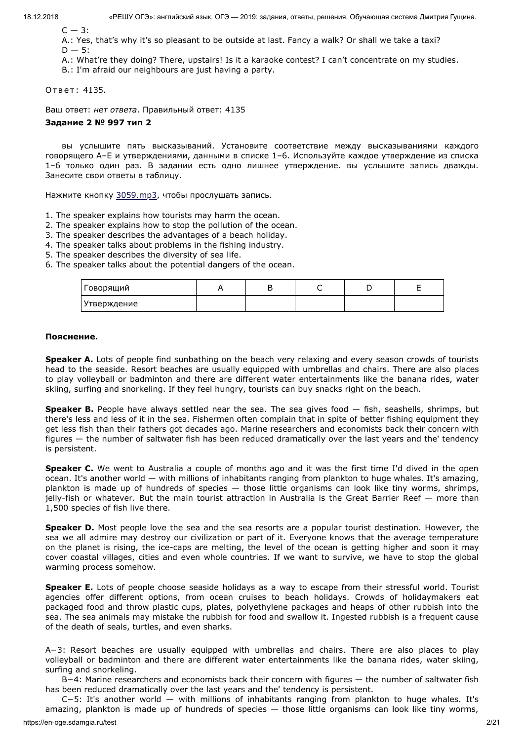$C - 3$ :

A.: Yes, that's why it's so pleasant to be outside at last. Fancy a walk? Or shall we take a taxi?

 $D - 5$ :

A.: What're they doing? There, upstairs! Is it a karaoke contest? I can't concentrate on my studies. B.: I'm afraid our neighbours are just having a party.

Ответ: 4135.

Ваш ответ: *нет ответа*. Правильный ответ: 4135

## **Задание 2 № 997 тип 2**

вы услышите пять высказываний. Установите соответствие между высказываниями каждого говорящего A–E и утверждениями, данными в списке 1–6. Используйте каждое утверждение из списка 1–6 только один раз. В задании есть одно лишнее утверждение. вы услышите запись дважды. Занесите свои ответы в таблицу.

Нажмите кнопку [3059.mp3](https://en-oge.sdamgia.ru/files/3059.mp3), чтобы прослушать запись.

- 1. The speaker explains how tourists may harm the ocean.
- 2. The speaker explains how to stop the pollution of the ocean.
- 3. The speaker describes the advantages of a beach holiday.
- 4. The speaker talks about problems in the fishing industry.
- 5. The speaker describes the diversity of sea life.
- 6. The speaker talks about the potential dangers of the ocean.

| Говорящий   |  |  |  |
|-------------|--|--|--|
| Утверждение |  |  |  |

#### **Пояснение.**

**Speaker A.** Lots of people find sunbathing on the beach very relaxing and every season crowds of tourists head to the seaside. Resort beaches are usually equipped with umbrellas and chairs. There are also places to play volleyball or badminton and there are different water entertainments like the banana rides, water skiing, surfing and snorkeling. If they feel hungry, tourists can buy snacks right on the beach.

**Speaker B.** People have always settled near the sea. The sea gives food — fish, seashells, shrimps, but there's less and less of it in the sea. Fishermen often complain that in spite of better fishing equipment they get less fish than their fathers got decades ago. Marine researchers and economists back their concern with figures — the number of saltwater fish has been reduced dramatically over the last years and the' tendency is persistent.

**Speaker C.** We went to Australia a couple of months ago and it was the first time I'd dived in the open ocean. It's another world — with millions of inhabitants ranging from plankton to huge whales. It's amazing, plankton is made up of hundreds of species — those little organisms can look like tiny worms, shrimps, jelly-fish or whatever. But the main tourist attraction in Australia is the Great Barrier Reef — more than 1,500 species of fish live there.

**Speaker D.** Most people love the sea and the sea resorts are a popular tourist destination. However, the sea we all admire may destroy our civilization or part of it. Everyone knows that the average temperature on the planet is rising, the ice-caps are melting, the level of the ocean is getting higher and soon it may cover coastal villages, cities and even whole countries. If we want to survive, we have to stop the global warming process somehow.

**Speaker Е.** Lots of people choose seaside holidays as a way to escape from their stressful world. Tourist agencies offer different options, from ocean cruises to beach holidays. Crowds of holidaymakers eat packaged food and throw plastic cups, plates, polyethylene packages and heaps of other rubbish into the sea. The sea animals may mistake the rubbish for food and swallow it. Ingested rubbish is a frequent cause of the death of seals, turtles, and even sharks.

A−3: Resort beaches are usually equipped with umbrellas and chairs. There are also places to play volleyball or badminton and there are different water entertainments like the banana rides, water skiing, surfing and snorkeling.

B−4: Marine researchers and economists back their concern with figures — the number of saltwater fish has been reduced dramatically over the last years and the' tendency is persistent.

C−5: It's another world — with millions of inhabitants ranging from plankton to huge whales. It's amazing, plankton is made up of hundreds of species — those little organisms can look like tiny worms,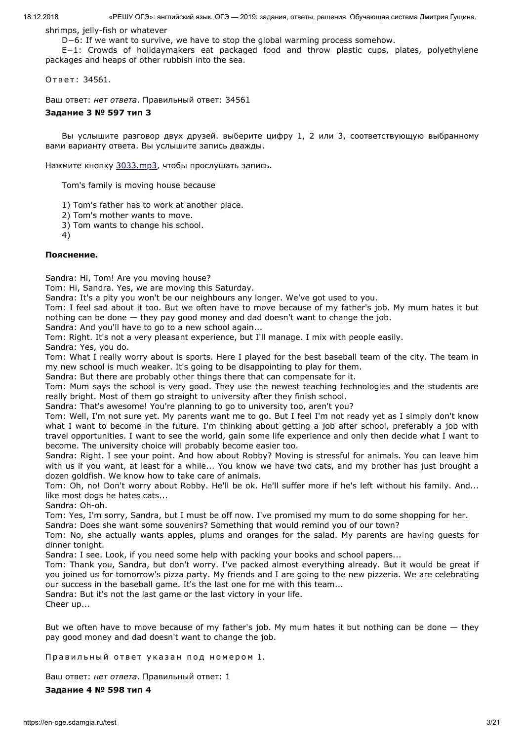shrimps, jelly-fish or whatever

D−6: If we want to survive, we have to stop the global warming process somehow.

E−1: Crowds of holidaymakers eat packaged food and throw plastic cups, plates, polyethylene packages and heaps of other rubbish into the sea.

Ответ: 34561.

Ваш ответ: *нет ответа*. Правильный ответ: 34561

## **Задание 3 № 597 тип 3**

Вы услышите разговор двух друзей. выберите цифру 1, 2 или 3, соответствующую выбранному вами варианту ответа. Вы услышите запись дважды.

Нажмите кнопку [3033.mp3](https://en-oge.sdamgia.ru/files/3033.mp3), чтобы прослушать запись.

Tom's family is moving house because

- 1) Tom's father has to work at another place.
- 2) Tom's mother wants to move.
- 3) Tom wants to change his school.

4)

## **Пояснение.**

Sandra: Hi, Tom! Are you moving house?

Tom: Hi, Sandra. Yes, we are moving this Saturday.

Sandra: It's a pity you won't be our neighbours any longer. We've got used to you.

Tom: I feel sad about it too. But we often have to move because of my father's job. My mum hates it but nothing can be done — they pay good money and dad doesn't want to change the job.

Sandra: And you'll have to go to a new school again...

Tom: Right. It's not a very pleasant experience, but I'll manage. I mix with people easily.

Sandra: Yes, you do.

Tom: What I really worry about is sports. Here I played for the best baseball team of the city. The team in my new school is much weaker. It's going to be disappointing to play for them.

Sandra: But there are probably other things there that can compensate for it.

Tom: Mum says the school is very good. They use the newest teaching technologies and the students are really bright. Most of them go straight to university after they finish school.

Sandra: That's awesome! You're planning to go to university too, aren't you?

Tom: Well, I'm not sure yet. My parents want me to go. But I feel I'm not ready yet as I simply don't know what I want to become in the future. I'm thinking about getting a job after school, preferably a job with travel opportunities. I want to see the world, gain some life experience and only then decide what I want to become. The university choice will probably become easier too.

Sandra: Right. I see your point. And how about Robby? Moving is stressful for animals. You can leave him with us if you want, at least for a while... You know we have two cats, and my brother has just brought a dozen goldfish. We know how to take care of animals.

Tom: Oh, no! Don't worry about Robby. He'll be ok. He'll suffer more if he's left without his family. And... like most dogs he hates cats...

Sandra: Oh-oh.

Tom: Yes, I'm sorry, Sandra, but I must be off now. I've promised my mum to do some shopping for her.

Sandra: Does she want some souvenirs? Something that would remind you of our town?

Tom: No, she actually wants apples, plums and oranges for the salad. My parents are having guests for dinner tonight.

Sandra: I see. Look, if you need some help with packing your books and school papers...

Tom: Thank you, Sandra, but don't worry. I've packed almost everything already. But it would be great if you joined us for tomorrow's pizza party. My friends and I are going to the new pizzeria. We are celebrating our success in the baseball game. It's the last one for me with this team...

Sandra: But it's not the last game or the last victory in your life.

Cheer up...

But we often have to move because of my father's job. My mum hates it but nothing can be done – they pay good money and dad doesn't want to change the job.

Правильный ответ указан под номером 1.

Ваш ответ: *нет ответа*. Правильный ответ: 1

**Задание 4 № 598 тип 4**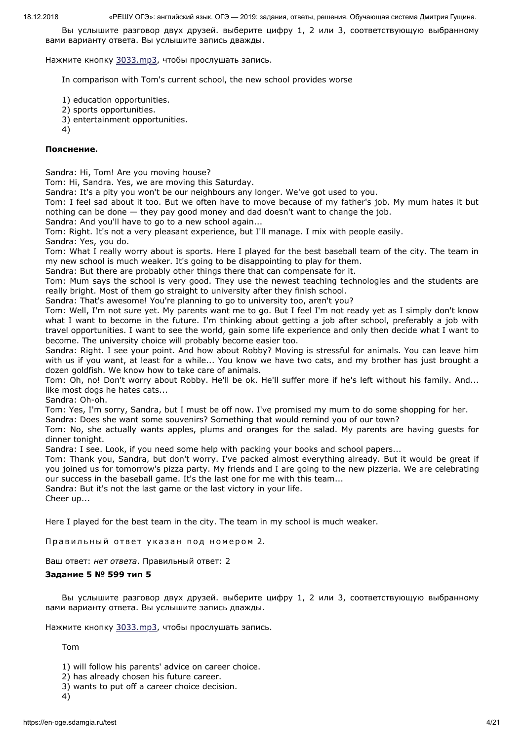Вы услышите разговор двух друзей. выберите цифру 1, 2 или 3, соответствующую выбранному вами варианту ответа. Вы услышите запись дважды.

Нажмите кнопку [3033.mp3](https://en-oge.sdamgia.ru/files/3033.mp3), чтобы прослушать запись.

In comparison with Tom's current school, the new school provides worse

1) education opportunities.

2) sports opportunities.

3) entertainment opportunities.

4)

## **Пояснение.**

Sandra: Hi, Tom! Are you moving house?

Tom: Hi, Sandra. Yes, we are moving this Saturday.

Sandra: It's a pity you won't be our neighbours any longer. We've got used to you.

Tom: I feel sad about it too. But we often have to move because of my father's job. My mum hates it but nothing can be done — they pay good money and dad doesn't want to change the job.

Sandra: And you'll have to go to a new school again...

Tom: Right. It's not a very pleasant experience, but I'll manage. I mix with people easily.

Sandra: Yes, you do.

Tom: What I really worry about is sports. Here I played for the best baseball team of the city. The team in my new school is much weaker. It's going to be disappointing to play for them.

Sandra: But there are probably other things there that can compensate for it.

Tom: Mum says the school is very good. They use the newest teaching technologies and the students are really bright. Most of them go straight to university after they finish school.

Sandra: That's awesome! You're planning to go to university too, aren't you?

Tom: Well, I'm not sure yet. My parents want me to go. But I feel I'm not ready yet as I simply don't know what I want to become in the future. I'm thinking about getting a job after school, preferably a job with travel opportunities. I want to see the world, gain some life experience and only then decide what I want to become. The university choice will probably become easier too.

Sandra: Right. I see your point. And how about Robby? Moving is stressful for animals. You can leave him with us if you want, at least for a while... You know we have two cats, and my brother has just brought a dozen goldfish. We know how to take care of animals.

Tom: Oh, no! Don't worry about Robby. He'll be ok. He'll suffer more if he's left without his family. And... like most dogs he hates cats...

Sandra: Oh-oh.

Tom: Yes, I'm sorry, Sandra, but I must be off now. I've promised my mum to do some shopping for her.

Sandra: Does she want some souvenirs? Something that would remind you of our town?

Tom: No, she actually wants apples, plums and oranges for the salad. My parents are having guests for dinner tonight.

Sandra: I see. Look, if you need some help with packing your books and school papers...

Tom: Thank you, Sandra, but don't worry. I've packed almost everything already. But it would be great if you joined us for tomorrow's pizza party. My friends and I are going to the new pizzeria. We are celebrating our success in the baseball game. It's the last one for me with this team...

Sandra: But it's not the last game or the last victory in your life.

Cheer up...

Here I played for the best team in the city. The team in my school is much weaker.

Правильный ответ указан под номером 2.

Ваш ответ: *нет ответа*. Правильный ответ: 2

#### **Задание 5 № 599 тип 5**

Вы услышите разговор двух друзей. выберите цифру 1, 2 или 3, соответствующую выбранному вами варианту ответа. Вы услышите запись дважды.

Нажмите кнопку [3033.mp3](https://en-oge.sdamgia.ru/files/3033.mp3), чтобы прослушать запись.

Tom

- 2) has already chosen his future career.
- 3) wants to put off a career choice decision.
- 4)

<sup>1)</sup> will follow his parents' advice on career choice.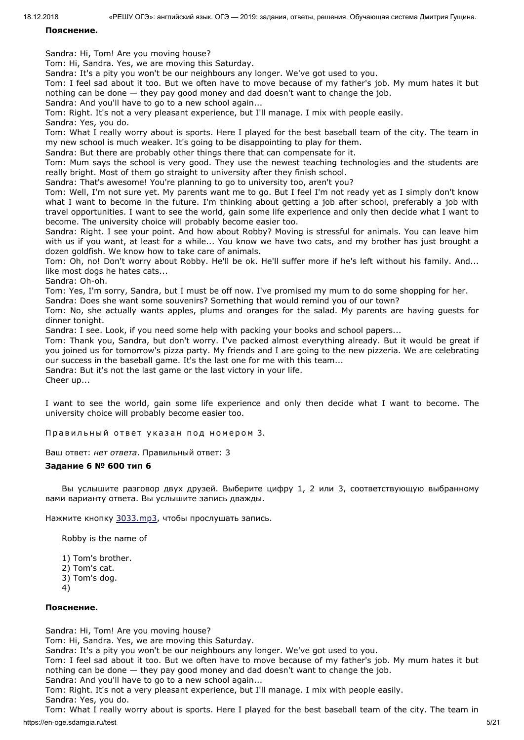#### **Пояснение.**

Sandra: Hi, Tom! Are you moving house?

Tom: Hi, Sandra. Yes, we are moving this Saturday.

Sandra: It's a pity you won't be our neighbours any longer. We've got used to you.

Tom: I feel sad about it too. But we often have to move because of my father's job. My mum hates it but nothing can be done — they pay good money and dad doesn't want to change the job.

Sandra: And you'll have to go to a new school again...

Tom: Right. It's not a very pleasant experience, but I'll manage. I mix with people easily. Sandra: Yes, you do.

Tom: What I really worry about is sports. Here I played for the best baseball team of the city. The team in my new school is much weaker. It's going to be disappointing to play for them.

Sandra: But there are probably other things there that can compensate for it.

Tom: Mum says the school is very good. They use the newest teaching technologies and the students are really bright. Most of them go straight to university after they finish school.

Sandra: That's awesome! You're planning to go to university too, aren't you?

Tom: Well, I'm not sure yet. My parents want me to go. But I feel I'm not ready yet as I simply don't know what I want to become in the future. I'm thinking about getting a job after school, preferably a job with travel opportunities. I want to see the world, gain some life experience and only then decide what I want to become. The university choice will probably become easier too.

Sandra: Right. I see your point. And how about Robby? Moving is stressful for animals. You can leave him with us if you want, at least for a while... You know we have two cats, and my brother has just brought a dozen goldfish. We know how to take care of animals.

Tom: Oh, no! Don't worry about Robby. He'll be ok. He'll suffer more if he's left without his family. And... like most dogs he hates cats...

Sandra: Oh-oh.

Tom: Yes, I'm sorry, Sandra, but I must be off now. I've promised my mum to do some shopping for her.

Sandra: Does she want some souvenirs? Something that would remind you of our town?

Tom: No, she actually wants apples, plums and oranges for the salad. My parents are having guests for dinner tonight.

Sandra: I see. Look, if you need some help with packing your books and school papers...

Tom: Thank you, Sandra, but don't worry. I've packed almost everything already. But it would be great if you joined us for tomorrow's pizza party. My friends and I are going to the new pizzeria. We are celebrating our success in the baseball game. It's the last one for me with this team...

Sandra: But it's not the last game or the last victory in your life.

Cheer up...

I want to see the world, gain some life experience and only then decide what I want to become. The university choice will probably become easier too.

Правильный ответ указан под номером 3.

Ваш ответ: *нет ответа*. Правильный ответ: 3

## **Задание 6 № 600 тип 6**

Вы услышите разговор двух друзей. Выберите цифру 1, 2 или 3, соответствующую выбранному вами варианту ответа. Вы услышите запись дважды.

Нажмите кнопку [3033.mp3](https://en-oge.sdamgia.ru/files/3033.mp3), чтобы прослушать запись.

Robby is the name of

- 1) Tom's brother.
- 2) Tom's cat.
- 3) Tom's dog.
- 4)

## **Пояснение.**

Sandra: Hi, Tom! Are you moving house?

Tom: Hi, Sandra. Yes, we are moving this Saturday.

Sandra: It's a pity you won't be our neighbours any longer. We've got used to you.

Tom: I feel sad about it too. But we often have to move because of my father's job. My mum hates it but nothing can be done — they pay good money and dad doesn't want to change the job.

Sandra: And you'll have to go to a new school again...

Tom: Right. It's not a very pleasant experience, but I'll manage. I mix with people easily. Sandra: Yes, you do.

https://en-oge.sdamgia.ru/test 5/21 Tom: What I really worry about is sports. Here I played for the best baseball team of the city. The team in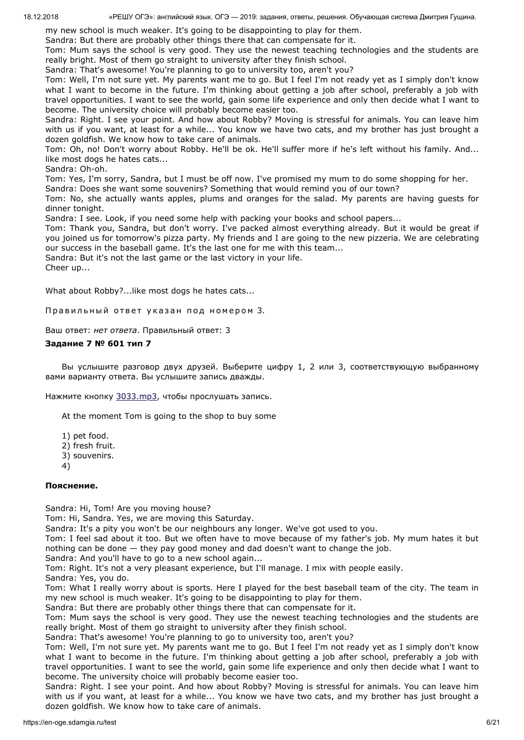my new school is much weaker. It's going to be disappointing to play for them.

Sandra: But there are probably other things there that can compensate for it.

Tom: Mum says the school is very good. They use the newest teaching technologies and the students are really bright. Most of them go straight to university after they finish school.

Sandra: That's awesome! You're planning to go to university too, aren't you?

Tom: Well, I'm not sure yet. My parents want me to go. But I feel I'm not ready yet as I simply don't know what I want to become in the future. I'm thinking about getting a job after school, preferably a job with travel opportunities. I want to see the world, gain some life experience and only then decide what I want to become. The university choice will probably become easier too.

Sandra: Right. I see your point. And how about Robby? Moving is stressful for animals. You can leave him with us if you want, at least for a while... You know we have two cats, and my brother has just brought a dozen goldfish. We know how to take care of animals.

Tom: Oh, no! Don't worry about Robby. He'll be ok. He'll suffer more if he's left without his family. And... like most dogs he hates cats...

Sandra: Oh-oh.

Tom: Yes, I'm sorry, Sandra, but I must be off now. I've promised my mum to do some shopping for her.

Sandra: Does she want some souvenirs? Something that would remind you of our town?

Tom: No, she actually wants apples, plums and oranges for the salad. My parents are having guests for dinner tonight.

Sandra: I see. Look, if you need some help with packing your books and school papers...

Tom: Thank you, Sandra, but don't worry. I've packed almost everything already. But it would be great if you joined us for tomorrow's pizza party. My friends and I are going to the new pizzeria. We are celebrating our success in the baseball game. It's the last one for me with this team...

Sandra: But it's not the last game or the last victory in your life.

Cheer up...

What about Robby?...like most dogs he hates cats...

Правильный ответ указан под номером 3.

Ваш ответ: *нет ответа*. Правильный ответ: 3

## **Задание 7 № 601 тип 7**

Вы услышите разговор двух друзей. Выберите цифру 1, 2 или 3, соответствующую выбранному вами варианту ответа. Вы услышите запись дважды.

Нажмите кнопку [3033.mp3](https://en-oge.sdamgia.ru/files/3033.mp3), чтобы прослушать запись.

At the moment Tom is going to the shop to buy some

- 1) pet food.
- 2) fresh fruit.
- 3) souvenirs.
- 4)

## **Пояснение.**

Sandra: Hi, Tom! Are you moving house?

Tom: Hi, Sandra. Yes, we are moving this Saturday.

Sandra: It's a pity you won't be our neighbours any longer. We've got used to you.

Tom: I feel sad about it too. But we often have to move because of my father's job. My mum hates it but nothing can be done — they pay good money and dad doesn't want to change the job.

Sandra: And you'll have to go to a new school again...

Tom: Right. It's not a very pleasant experience, but I'll manage. I mix with people easily.

Sandra: Yes, you do.

Tom: What I really worry about is sports. Here I played for the best baseball team of the city. The team in my new school is much weaker. It's going to be disappointing to play for them.

Sandra: But there are probably other things there that can compensate for it.

Tom: Mum says the school is very good. They use the newest teaching technologies and the students are really bright. Most of them go straight to university after they finish school.

Sandra: That's awesome! You're planning to go to university too, aren't you?

Tom: Well, I'm not sure yet. My parents want me to go. But I feel I'm not ready yet as I simply don't know what I want to become in the future. I'm thinking about getting a job after school, preferably a job with travel opportunities. I want to see the world, gain some life experience and only then decide what I want to become. The university choice will probably become easier too.

Sandra: Right. I see your point. And how about Robby? Moving is stressful for animals. You can leave him with us if you want, at least for a while... You know we have two cats, and my brother has just brought a dozen goldfish. We know how to take care of animals.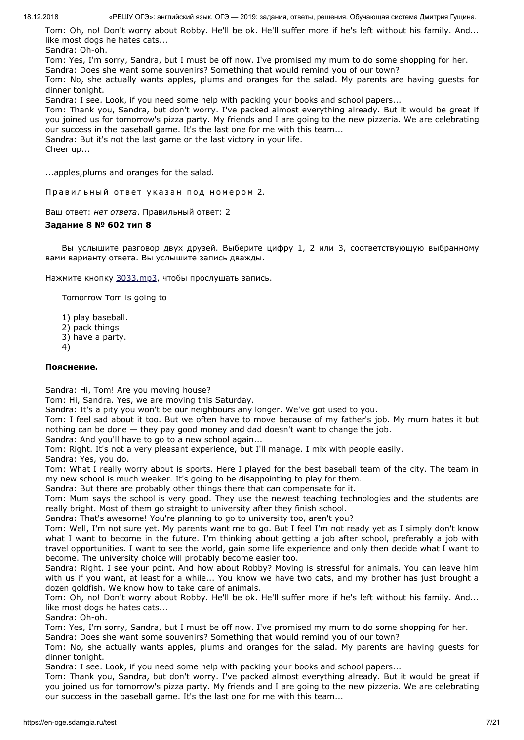Tom: Oh, no! Don't worry about Robby. He'll be ok. He'll suffer more if he's left without his family. And... like most dogs he hates cats...

Sandra: Oh-oh.

Tom: Yes, I'm sorry, Sandra, but I must be off now. I've promised my mum to do some shopping for her. Sandra: Does she want some souvenirs? Something that would remind you of our town?

Tom: No, she actually wants apples, plums and oranges for the salad. My parents are having guests for dinner tonight.

Sandra: I see. Look, if you need some help with packing your books and school papers...

Tom: Thank you, Sandra, but don't worry. I've packed almost everything already. But it would be great if you joined us for tomorrow's pizza party. My friends and I are going to the new pizzeria. We are celebrating our success in the baseball game. It's the last one for me with this team...

Sandra: But it's not the last game or the last victory in your life.

Cheer up...

...apples,plums and oranges for the salad.

Правильный ответ указан под номером 2.

Ваш ответ: *нет ответа*. Правильный ответ: 2

## **Задание 8 № 602 тип 8**

Вы услышите разговор двух друзей. Выберите цифру 1, 2 или 3, соответствующую выбранному вами варианту ответа. Вы услышите запись дважды.

Нажмите кнопку [3033.mp3](https://en-oge.sdamgia.ru/files/3033.mp3), чтобы прослушать запись.

Tomorrow Tom is going to

1) play baseball. 2) pack things 3) have a party. 4)

## **Пояснение.**

Sandra: Hi, Tom! Are you moving house?

Tom: Hi, Sandra. Yes, we are moving this Saturday.

Sandra: It's a pity you won't be our neighbours any longer. We've got used to you.

Tom: I feel sad about it too. But we often have to move because of my father's job. My mum hates it but nothing can be done — they pay good money and dad doesn't want to change the job.

Sandra: And you'll have to go to a new school again...

Tom: Right. It's not a very pleasant experience, but I'll manage. I mix with people easily.

Sandra: Yes, you do.

Tom: What I really worry about is sports. Here I played for the best baseball team of the city. The team in my new school is much weaker. It's going to be disappointing to play for them.

Sandra: But there are probably other things there that can compensate for it.

Tom: Mum says the school is very good. They use the newest teaching technologies and the students are really bright. Most of them go straight to university after they finish school.

Sandra: That's awesome! You're planning to go to university too, aren't you?

Tom: Well, I'm not sure yet. My parents want me to go. But I feel I'm not ready yet as I simply don't know what I want to become in the future. I'm thinking about getting a job after school, preferably a job with travel opportunities. I want to see the world, gain some life experience and only then decide what I want to become. The university choice will probably become easier too.

Sandra: Right. I see your point. And how about Robby? Moving is stressful for animals. You can leave him with us if you want, at least for a while... You know we have two cats, and my brother has just brought a dozen goldfish. We know how to take care of animals.

Tom: Oh, no! Don't worry about Robby. He'll be ok. He'll suffer more if he's left without his family. And... like most dogs he hates cats...

Sandra: Oh-oh.

Tom: Yes, I'm sorry, Sandra, but I must be off now. I've promised my mum to do some shopping for her.

Sandra: Does she want some souvenirs? Something that would remind you of our town?

Tom: No, she actually wants apples, plums and oranges for the salad. My parents are having guests for dinner tonight.

Sandra: I see. Look, if you need some help with packing your books and school papers...

Tom: Thank you, Sandra, but don't worry. I've packed almost everything already. But it would be great if you joined us for tomorrow's pizza party. My friends and I are going to the new pizzeria. We are celebrating our success in the baseball game. It's the last one for me with this team...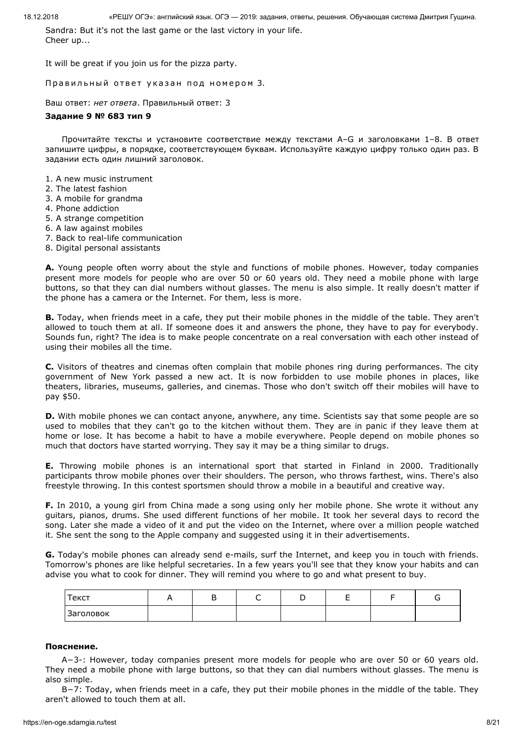Sandra: But it's not the last game or the last victory in your life. Cheer up...

It will be great if you join us for the pizza party.

Правильный ответ указан под номером 3.

Ваш ответ: *нет ответа*. Правильный ответ: 3

### **Задание 9 № 683 тип 9**

Прочитайте тексты и установите соответствие между текстами А–G и заголовками 1–8. В ответ запишите цифры, в порядке, соответствующем буквам. Используйте каждую цифру только один раз. В задании есть один лишний заголовок.

- 1. A new music instrument
- 2. The latest fashion
- 3. A mobile for grandma
- 4. Phone addiction
- 5. A strange competition
- 6. A law against mobiles
- 7. Back to real-life communication
- 8. Digital personal assistants

**A.** Young people often worry about the style and functions of mobile phones. However, today companies present more models for people who are over 50 or 60 years old. They need a mobile phone with large buttons, so that they can dial numbers without glasses. The menu is also simple. It really doesn't matter if the phone has a camera or the Internet. For them, less is more.

**B.** Today, when friends meet in a cafe, they put their mobile phones in the middle of the table. They aren't allowed to touch them at all. If someone does it and answers the phone, they have to pay for everybody. Sounds fun, right? The idea is to make people concentrate on a real conversation with each other instead of using their mobiles all the time.

**C.** Visitors of theatres and cinemas often complain that mobile phones ring during performances. The city government of New York passed a new act. It is now forbidden to use mobile phones in places, like theaters, libraries, museums, galleries, and cinemas. Those who don't switch off their mobiles will have to pay \$50.

**D.** With mobile phones we can contact anyone, anywhere, any time. Scientists say that some people are so used to mobiles that they can't go to the kitchen without them. They are in panic if they leave them at home or lose. It has become a habit to have a mobile everywhere. People depend on mobile phones so much that doctors have started worrying. They say it may be a thing similar to drugs.

**E.** Throwing mobile phones is an international sport that started in Finland in 2000. Traditionally participants throw mobile phones over their shoulders. The person, who throws farthest, wins. There's also freestyle throwing. In this contest sportsmen should throw a mobile in a beautiful and creative way.

**F.** In 2010, a young girl from China made a song using only her mobile phone. She wrote it without any guitars, pianos, drums. She used different functions of her mobile. It took her several days to record the song. Later she made a video of it and put the video on the Internet, where over a million people watched it. She sent the song to the Apple company and suggested using it in their advertisements.

**G.** Today's mobile phones can already send e-mails, surf the Internet, and keep you in touch with friends. Tomorrow's phones are like helpful secretaries. In a few years you'll see that they know your habits and can advise you what to cook for dinner. They will remind you where to go and what present to buy.

| Текст     |  |  |  |  |
|-----------|--|--|--|--|
| Заголовок |  |  |  |  |

#### **Пояснение.**

A−3-: However, today companies present more models for people who are over 50 or 60 years old. They need a mobile phone with large buttons, so that they can dial numbers without glasses. The menu is also simple.

B−7: Today, when friends meet in a cafe, they put their mobile phones in the middle of the table. They aren't allowed to touch them at all.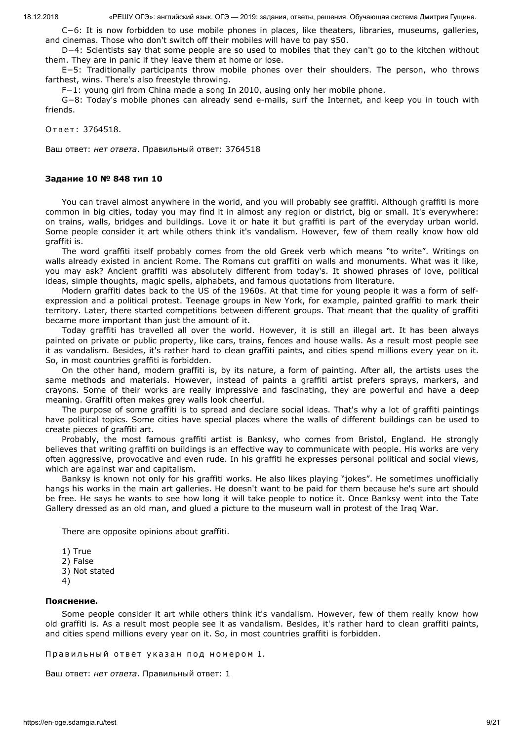C−6: It is now forbidden to use mobile phones in places, like theaters, libraries, museums, galleries, and cinemas. Those who don't switch off their mobiles will have to pay \$50.

D−4: Scientists say that some people are so used to mobiles that they can't go to the kitchen without them. They are in panic if they leave them at home or lose.

E−5: Traditionally participants throw mobile phones over their shoulders. The person, who throws farthest, wins. There's also freestyle throwing.

F−1: young girl from China made a song In 2010, ausing only her mobile phone.

G−8: Today's mobile phones can already send e-mails, surf the Internet, and keep you in touch with friends.

Ответ: 3764518.

Ваш ответ: *нет ответа*. Правильный ответ: 3764518

#### **Задание 10 № 848 тип 10**

You can travel almost anywhere in the world, and you will probably see graffiti. Although graffiti is more common in big cities, today you may find it in almost any region or district, big or small. It's everywhere: on trains, walls, bridges and buildings. Love it or hate it but graffiti is part of the everyday urban world. Some people consider it art while others think it's vandalism. However, few of them really know how old graffiti is.

The word graffiti itself probably comes from the old Greek verb which means "to write". Writings on walls already existed in ancient Rome. The Romans cut graffiti on walls and monuments. What was it like, you may ask? Ancient graffiti was absolutely different from today's. It showed phrases of love, political ideas, simple thoughts, magic spells, alphabets, and famous quotations from literature.

Modern graffiti dates back to the US of the 1960s. At that time for young people it was a form of selfexpression and a political protest. Teenage groups in New York, for example, painted graffiti to mark their territory. Later, there started competitions between different groups. That meant that the quality of graffiti became more important than just the amount of it.

Today graffiti has travelled all over the world. However, it is still an illegal art. It has been always painted on private or public property, like cars, trains, fences and house walls. As a result most people see it as vandalism. Besides, it's rather hard to clean graffiti paints, and cities spend millions every year on it. So, in most countries graffiti is forbidden.

On the other hand, modern graffiti is, by its nature, a form of painting. After all, the artists uses the same methods and materials. However, instead of paints a graffiti artist prefers sprays, markers, and crayons. Some of their works are really impressive and fascinating, they are powerful and have a deep meaning. Graffiti often makes grey walls look cheerful.

The purpose of some graffiti is to spread and declare social ideas. That's why a lot of graffiti paintings have political topics. Some cities have special places where the walls of different buildings can be used to create pieces of graffiti art.

Probably, the most famous graffiti artist is Banksy, who comes from Bristol, England. He strongly believes that writing graffiti on buildings is an effective way to communicate with people. His works are very often aggressive, provocative and even rude. In his graffiti he expresses personal political and social views, which are against war and capitalism.

Banksy is known not only for his graffiti works. He also likes playing "jokes". He sometimes unofficially hangs his works in the main art galleries. He doesn't want to be paid for them because he's sure art should be free. He says he wants to see how long it will take people to notice it. Once Banksy went into the Tate Gallery dressed as an old man, and glued a picture to the museum wall in protest of the Iraq War.

There are opposite opinions about graffiti.

- 1) True
- 2) False
- 3) Not stated
- 4)

#### **Пояснение.**

Some people consider it art while others think it's vandalism. However, few of them really know how old graffiti is. As a result most people see it as vandalism. Besides, it's rather hard to clean graffiti paints, and cities spend millions every year on it. So, in most countries graffiti is forbidden.

Правильный ответ указан под номером 1.

Ваш ответ: *нет ответа*. Правильный ответ: 1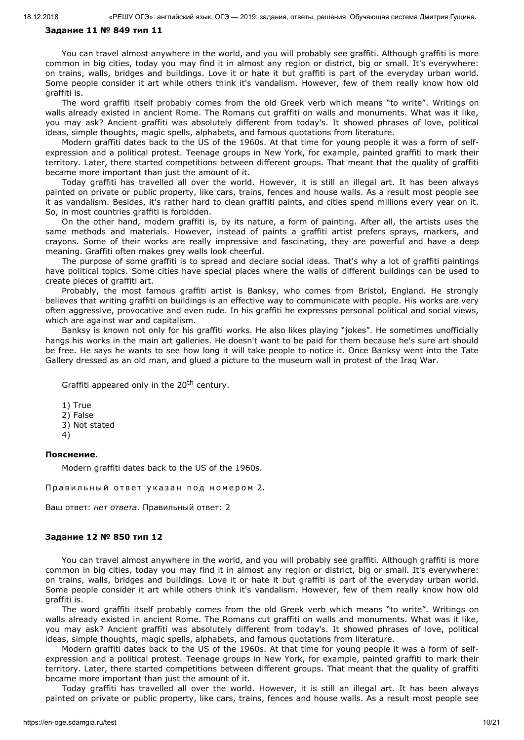#### **Задание 11 № 849 тип 11**

You can travel almost anywhere in the world, and you will probably see graffiti. Although graffiti is more common in big cities, today you may find it in almost any region or district, big or small. It's everywhere: on trains, walls, bridges and buildings. Love it or hate it but graffiti is part of the everyday urban world. Some people consider it art while others think it's vandalism. However, few of them really know how old graffiti is.

The word graffiti itself probably comes from the old Greek verb which means "to write". Writings on walls already existed in ancient Rome. The Romans cut graffiti on walls and monuments. What was it like, you may ask? Ancient graffiti was absolutely different from today's. It showed phrases of love, political ideas, simple thoughts, magic spells, alphabets, and famous quotations from literature.

Modern graffiti dates back to the US of the 1960s. At that time for young people it was a form of selfexpression and a political protest. Teenage groups in New York, for example, painted graffiti to mark their territory. Later, there started competitions between different groups. That meant that the quality of graffiti became more important than just the amount of it.

Today graffiti has travelled all over the world. However, it is still an illegal art. It has been always painted on private or public property, like cars, trains, fences and house walls. As a result most people see it as vandalism. Besides, it's rather hard to clean graffiti paints, and cities spend millions every year on it. So, in most countries graffiti is forbidden.

On the other hand, modern graffiti is, by its nature, a form of painting. After all, the artists uses the same methods and materials. However, instead of paints a graffiti artist prefers sprays, markers, and crayons. Some of their works are really impressive and fascinating, they are powerful and have a deep meaning. Graffiti often makes grey walls look cheerful.

The purpose of some graffiti is to spread and declare social ideas. That's why a lot of graffiti paintings have political topics. Some cities have special places where the walls of different buildings can be used to create pieces of graffiti art.

Probably, the most famous graffiti artist is Banksy, who comes from Bristol, England. He strongly believes that writing graffiti on buildings is an effective way to communicate with people. His works are very often aggressive, provocative and even rude. In his graffiti he expresses personal political and social views, which are against war and capitalism.

Banksy is known not only for his graffiti works. He also likes playing "jokes". He sometimes unofficially hangs his works in the main art galleries. He doesn't want to be paid for them because he's sure art should be free. He says he wants to see how long it will take people to notice it. Once Banksy went into the Tate Gallery dressed as an old man, and glued a picture to the museum wall in protest of the Iraq War.

Graffiti appeared only in the 20<sup>th</sup> century.

1) True

- 2) False
- 3) Not stated
- 4)

#### **Пояснение.**

Modern graffiti dates back to the US of the 1960s.

Правильный ответ указан под номером 2.

Ваш ответ: *нет ответа*. Правильный ответ: 2

#### **Задание 12 № 850 тип 12**

You can travel almost anywhere in the world, and you will probably see graffiti. Although graffiti is more common in big cities, today you may find it in almost any region or district, big or small. It's everywhere: on trains, walls, bridges and buildings. Love it or hate it but graffiti is part of the everyday urban world. Some people consider it art while others think it's vandalism. However, few of them really know how old graffiti is.

The word graffiti itself probably comes from the old Greek verb which means "to write". Writings on walls already existed in ancient Rome. The Romans cut graffiti on walls and monuments. What was it like, you may ask? Ancient graffiti was absolutely different from today's. It showed phrases of love, political ideas, simple thoughts, magic spells, alphabets, and famous quotations from literature.

Modern graffiti dates back to the US of the 1960s. At that time for young people it was a form of selfexpression and a political protest. Teenage groups in New York, for example, painted graffiti to mark their territory. Later, there started competitions between different groups. That meant that the quality of graffiti became more important than just the amount of it.

Today graffiti has travelled all over the world. However, it is still an illegal art. It has been always painted on private or public property, like cars, trains, fences and house walls. As a result most people see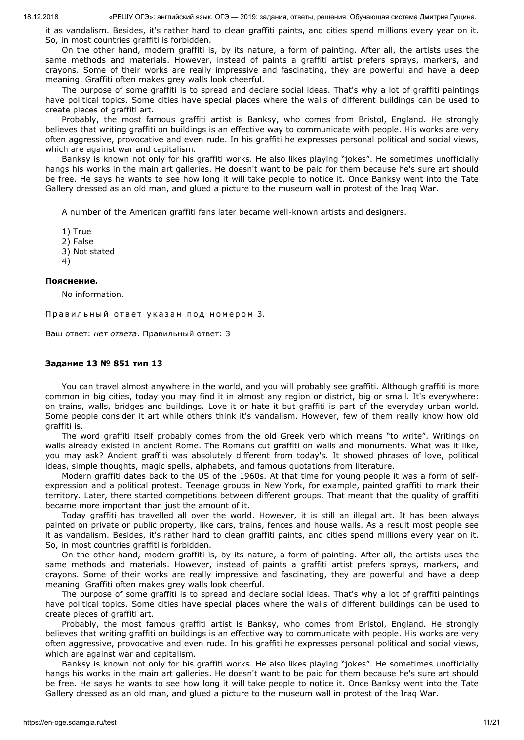it as vandalism. Besides, it's rather hard to clean graffiti paints, and cities spend millions every year on it. So, in most countries graffiti is forbidden.

On the other hand, modern graffiti is, by its nature, a form of painting. After all, the artists uses the same methods and materials. However, instead of paints a graffiti artist prefers sprays, markers, and crayons. Some of their works are really impressive and fascinating, they are powerful and have a deep meaning. Graffiti often makes grey walls look cheerful.

The purpose of some graffiti is to spread and declare social ideas. That's why a lot of graffiti paintings have political topics. Some cities have special places where the walls of different buildings can be used to create pieces of graffiti art.

Probably, the most famous graffiti artist is Banksy, who comes from Bristol, England. He strongly believes that writing graffiti on buildings is an effective way to communicate with people. His works are very often aggressive, provocative and even rude. In his graffiti he expresses personal political and social views, which are against war and capitalism.

Banksy is known not only for his graffiti works. He also likes playing "jokes". He sometimes unofficially hangs his works in the main art galleries. He doesn't want to be paid for them because he's sure art should be free. He says he wants to see how long it will take people to notice it. Once Banksy went into the Tate Gallery dressed as an old man, and glued a picture to the museum wall in protest of the Iraq War.

A number of the American graffiti fans later became well-known artists and designers.

1) True 2) False

3) Not stated

4)

## **Пояснение.**

No information.

Правильный ответ указан под номером 3.

Ваш ответ: *нет ответа*. Правильный ответ: 3

#### **Задание 13 № 851 тип 13**

You can travel almost anywhere in the world, and you will probably see graffiti. Although graffiti is more common in big cities, today you may find it in almost any region or district, big or small. It's everywhere: on trains, walls, bridges and buildings. Love it or hate it but graffiti is part of the everyday urban world. Some people consider it art while others think it's vandalism. However, few of them really know how old graffiti is.

The word graffiti itself probably comes from the old Greek verb which means "to write". Writings on walls already existed in ancient Rome. The Romans cut graffiti on walls and monuments. What was it like, you may ask? Ancient graffiti was absolutely different from today's. It showed phrases of love, political ideas, simple thoughts, magic spells, alphabets, and famous quotations from literature.

Modern graffiti dates back to the US of the 1960s. At that time for young people it was a form of selfexpression and a political protest. Teenage groups in New York, for example, painted graffiti to mark their territory. Later, there started competitions between different groups. That meant that the quality of graffiti became more important than just the amount of it.

Today graffiti has travelled all over the world. However, it is still an illegal art. It has been always painted on private or public property, like cars, trains, fences and house walls. As a result most people see it as vandalism. Besides, it's rather hard to clean graffiti paints, and cities spend millions every year on it. So, in most countries graffiti is forbidden.

On the other hand, modern graffiti is, by its nature, a form of painting. After all, the artists uses the same methods and materials. However, instead of paints a graffiti artist prefers sprays, markers, and crayons. Some of their works are really impressive and fascinating, they are powerful and have a deep meaning. Graffiti often makes grey walls look cheerful.

The purpose of some graffiti is to spread and declare social ideas. That's why a lot of graffiti paintings have political topics. Some cities have special places where the walls of different buildings can be used to create pieces of graffiti art.

Probably, the most famous graffiti artist is Banksy, who comes from Bristol, England. He strongly believes that writing graffiti on buildings is an effective way to communicate with people. His works are very often aggressive, provocative and even rude. In his graffiti he expresses personal political and social views, which are against war and capitalism.

Banksy is known not only for his graffiti works. He also likes playing "jokes". He sometimes unofficially hangs his works in the main art galleries. He doesn't want to be paid for them because he's sure art should be free. He says he wants to see how long it will take people to notice it. Once Banksy went into the Tate Gallery dressed as an old man, and glued a picture to the museum wall in protest of the Iraq War.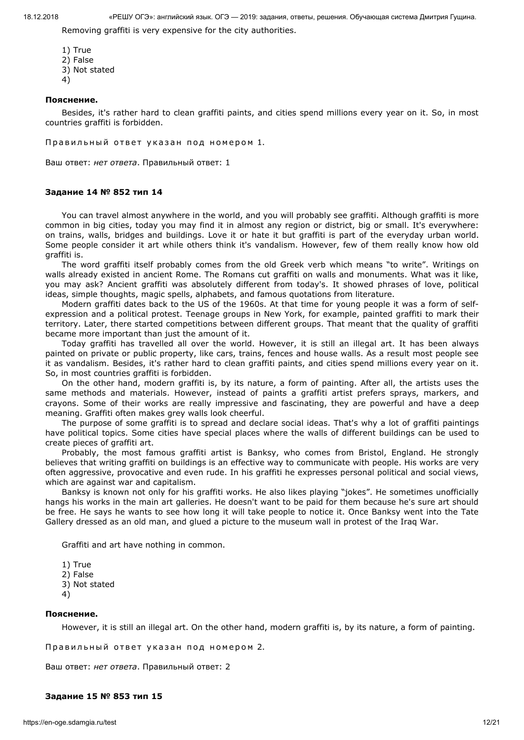Removing graffiti is very expensive for the city authorities.

1) True 2) False 3) Not stated 4)

#### **Пояснение.**

Besides, it's rather hard to clean graffiti paints, and cities spend millions every year on it. So, in most countries graffiti is forbidden.

Правильный ответ указан под номером 1.

Ваш ответ: *нет ответа*. Правильный ответ: 1

#### **Задание 14 № 852 тип 14**

You can travel almost anywhere in the world, and you will probably see graffiti. Although graffiti is more common in big cities, today you may find it in almost any region or district, big or small. It's everywhere: on trains, walls, bridges and buildings. Love it or hate it but graffiti is part of the everyday urban world. Some people consider it art while others think it's vandalism. However, few of them really know how old graffiti is.

The word graffiti itself probably comes from the old Greek verb which means "to write". Writings on walls already existed in ancient Rome. The Romans cut graffiti on walls and monuments. What was it like, you may ask? Ancient graffiti was absolutely different from today's. It showed phrases of love, political ideas, simple thoughts, magic spells, alphabets, and famous quotations from literature.

Modern graffiti dates back to the US of the 1960s. At that time for young people it was a form of selfexpression and a political protest. Teenage groups in New York, for example, painted graffiti to mark their territory. Later, there started competitions between different groups. That meant that the quality of graffiti became more important than just the amount of it.

Today graffiti has travelled all over the world. However, it is still an illegal art. It has been always painted on private or public property, like cars, trains, fences and house walls. As a result most people see it as vandalism. Besides, it's rather hard to clean graffiti paints, and cities spend millions every year on it. So, in most countries graffiti is forbidden.

On the other hand, modern graffiti is, by its nature, a form of painting. After all, the artists uses the same methods and materials. However, instead of paints a graffiti artist prefers sprays, markers, and crayons. Some of their works are really impressive and fascinating, they are powerful and have a deep meaning. Graffiti often makes grey walls look cheerful.

The purpose of some graffiti is to spread and declare social ideas. That's why a lot of graffiti paintings have political topics. Some cities have special places where the walls of different buildings can be used to create pieces of graffiti art.

Probably, the most famous graffiti artist is Banksy, who comes from Bristol, England. He strongly believes that writing graffiti on buildings is an effective way to communicate with people. His works are very often aggressive, provocative and even rude. In his graffiti he expresses personal political and social views, which are against war and capitalism.

Banksy is known not only for his graffiti works. He also likes playing "jokes". He sometimes unofficially hangs his works in the main art galleries. He doesn't want to be paid for them because he's sure art should be free. He says he wants to see how long it will take people to notice it. Once Banksy went into the Tate Gallery dressed as an old man, and glued a picture to the museum wall in protest of the Iraq War.

Graffiti and art have nothing in common.

- 1) True
- 2) False
- 3) Not stated
- 4)

#### **Пояснение.**

However, it is still an illegal art. On the other hand, modern graffiti is, by its nature, a form of painting.

Правильный ответ указан под номером 2.

Ваш ответ: *нет ответа*. Правильный ответ: 2

#### **Задание 15 № 853 тип 15**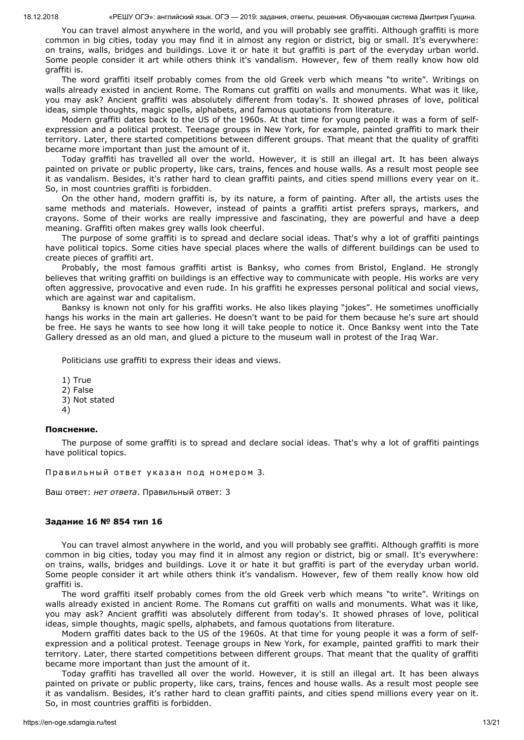You can travel almost anywhere in the world, and you will probably see graffiti. Although graffiti is more common in big cities, today you may find it in almost any region or district, big or small. It's everywhere: on trains, walls, bridges and buildings. Love it or hate it but graffiti is part of the everyday urban world. Some people consider it art while others think it's vandalism. However, few of them really know how old graffiti is.

The word graffiti itself probably comes from the old Greek verb which means "to write". Writings on walls already existed in ancient Rome. The Romans cut graffiti on walls and monuments. What was it like, you may ask? Ancient graffiti was absolutely different from today's. It showed phrases of love, political ideas, simple thoughts, magic spells, alphabets, and famous quotations from literature.

Modern graffiti dates back to the US of the 1960s. At that time for young people it was a form of selfexpression and a political protest. Teenage groups in New York, for example, painted graffiti to mark their territory. Later, there started competitions between different groups. That meant that the quality of graffiti became more important than just the amount of it.

Today graffiti has travelled all over the world. However, it is still an illegal art. It has been always painted on private or public property, like cars, trains, fences and house walls. As a result most people see it as vandalism. Besides, it's rather hard to clean graffiti paints, and cities spend millions every year on it. So, in most countries graffiti is forbidden.

On the other hand, modern graffiti is, by its nature, a form of painting. After all, the artists uses the same methods and materials. However, instead of paints a graffiti artist prefers sprays, markers, and crayons. Some of their works are really impressive and fascinating, they are powerful and have a deep meaning. Graffiti often makes grey walls look cheerful.

The purpose of some graffiti is to spread and declare social ideas. That's why a lot of graffiti paintings have political topics. Some cities have special places where the walls of different buildings can be used to create pieces of graffiti art.

Probably, the most famous graffiti artist is Banksy, who comes from Bristol, England. He strongly believes that writing graffiti on buildings is an effective way to communicate with people. His works are very often aggressive, provocative and even rude. In his graffiti he expresses personal political and social views, which are against war and capitalism.

Banksy is known not only for his graffiti works. He also likes playing "jokes". He sometimes unofficially hangs his works in the main art galleries. He doesn't want to be paid for them because he's sure art should be free. He says he wants to see how long it will take people to notice it. Once Banksy went into the Tate Gallery dressed as an old man, and glued a picture to the museum wall in protest of the Iraq War.

Politicians use graffiti to express their ideas and views.

1) True

- 2) False
- 3) Not stated
- 4)

## **Пояснение.**

The purpose of some graffiti is to spread and declare social ideas. That's why a lot of graffiti paintings have political topics.

Правильный ответ указан под номером 3.

Ваш ответ: *нет ответа*. Правильный ответ: 3

## **Задание 16 № 854 тип 16**

You can travel almost anywhere in the world, and you will probably see graffiti. Although graffiti is more common in big cities, today you may find it in almost any region or district, big or small. It's everywhere: on trains, walls, bridges and buildings. Love it or hate it but graffiti is part of the everyday urban world. Some people consider it art while others think it's vandalism. However, few of them really know how old graffiti is.

The word graffiti itself probably comes from the old Greek verb which means "to write". Writings on walls already existed in ancient Rome. The Romans cut graffiti on walls and monuments. What was it like, you may ask? Ancient graffiti was absolutely different from today's. It showed phrases of love, political ideas, simple thoughts, magic spells, alphabets, and famous quotations from literature.

Modern graffiti dates back to the US of the 1960s. At that time for young people it was a form of selfexpression and a political protest. Teenage groups in New York, for example, painted graffiti to mark their territory. Later, there started competitions between different groups. That meant that the quality of graffiti became more important than just the amount of it.

Today graffiti has travelled all over the world. However, it is still an illegal art. It has been always painted on private or public property, like cars, trains, fences and house walls. As a result most people see it as vandalism. Besides, it's rather hard to clean graffiti paints, and cities spend millions every year on it. So, in most countries graffiti is forbidden.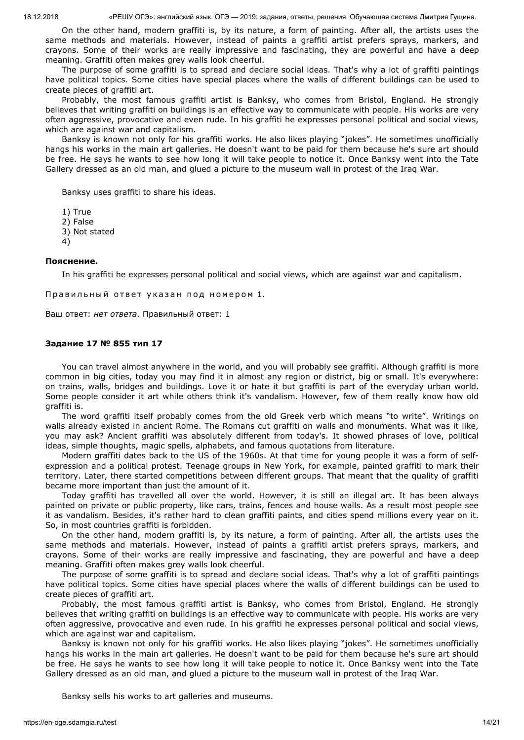On the other hand, modern graffiti is, by its nature, a form of painting. After all, the artists uses the same methods and materials. However, instead of paints a graffiti artist prefers sprays, markers, and crayons. Some of their works are really impressive and fascinating, they are powerful and have a deep meaning. Graffiti often makes grey walls look cheerful.

The purpose of some graffiti is to spread and declare social ideas. That's why a lot of graffiti paintings have political topics. Some cities have special places where the walls of different buildings can be used to create pieces of graffiti art.

Probably, the most famous graffiti artist is Banksy, who comes from Bristol, England. He strongly believes that writing graffiti on buildings is an effective way to communicate with people. His works are very often aggressive, provocative and even rude. In his graffiti he expresses personal political and social views, which are against war and capitalism.

Banksy is known not only for his graffiti works. He also likes playing "jokes". He sometimes unofficially hangs his works in the main art galleries. He doesn't want to be paid for them because he's sure art should be free. He says he wants to see how long it will take people to notice it. Once Banksy went into the Tate Gallery dressed as an old man, and glued a picture to the museum wall in protest of the Iraq War.

Banksy uses graffiti to share his ideas.

1) True

2) False

3) Not stated

4)

#### **Пояснение.**

In his graffiti he expresses personal political and social views, which are against war and capitalism.

Правильный ответ указан под номером 1.

Ваш ответ: *нет ответа*. Правильный ответ: 1

#### **Задание 17 № 855 тип 17**

You can travel almost anywhere in the world, and you will probably see graffiti. Although graffiti is more common in big cities, today you may find it in almost any region or district, big or small. It's everywhere: on trains, walls, bridges and buildings. Love it or hate it but graffiti is part of the everyday urban world. Some people consider it art while others think it's vandalism. However, few of them really know how old graffiti is.

The word graffiti itself probably comes from the old Greek verb which means "to write". Writings on walls already existed in ancient Rome. The Romans cut graffiti on walls and monuments. What was it like, you may ask? Ancient graffiti was absolutely different from today's. It showed phrases of love, political ideas, simple thoughts, magic spells, alphabets, and famous quotations from literature.

Modern graffiti dates back to the US of the 1960s. At that time for young people it was a form of selfexpression and a political protest. Teenage groups in New York, for example, painted graffiti to mark their territory. Later, there started competitions between different groups. That meant that the quality of graffiti became more important than just the amount of it.

Today graffiti has travelled all over the world. However, it is still an illegal art. It has been always painted on private or public property, like cars, trains, fences and house walls. As a result most people see it as vandalism. Besides, it's rather hard to clean graffiti paints, and cities spend millions every year on it. So, in most countries graffiti is forbidden.

On the other hand, modern graffiti is, by its nature, a form of painting. After all, the artists uses the same methods and materials. However, instead of paints a graffiti artist prefers sprays, markers, and crayons. Some of their works are really impressive and fascinating, they are powerful and have a deep meaning. Graffiti often makes grey walls look cheerful.

The purpose of some graffiti is to spread and declare social ideas. That's why a lot of graffiti paintings have political topics. Some cities have special places where the walls of different buildings can be used to create pieces of graffiti art.

Probably, the most famous graffiti artist is Banksy, who comes from Bristol, England. He strongly believes that writing graffiti on buildings is an effective way to communicate with people. His works are very often aggressive, provocative and even rude. In his graffiti he expresses personal political and social views, which are against war and capitalism.

Banksy is known not only for his graffiti works. He also likes playing "jokes". He sometimes unofficially hangs his works in the main art galleries. He doesn't want to be paid for them because he's sure art should be free. He says he wants to see how long it will take people to notice it. Once Banksy went into the Tate Gallery dressed as an old man, and glued a picture to the museum wall in protest of the Iraq War.

Banksy sells his works to art galleries and museums.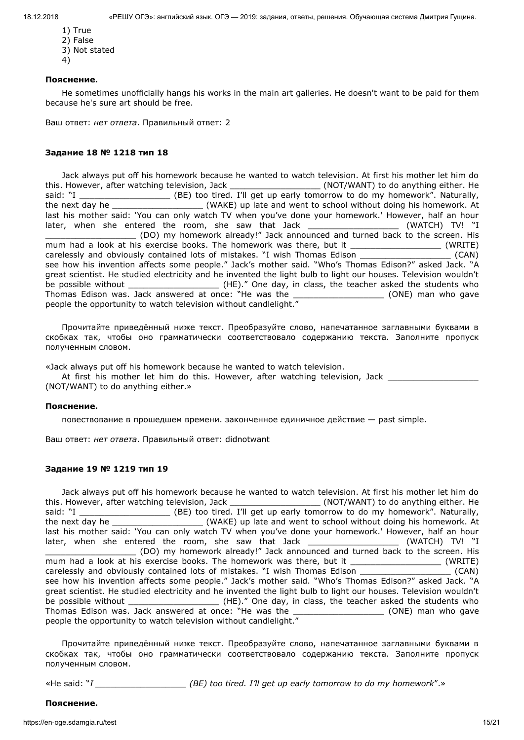- 1) True
- 2) False 3) Not stated
- 4)

## **Пояснение.**

He sometimes unofficially hangs his works in the main art galleries. He doesn't want to be paid for them because he's sure art should be free.

Ваш ответ: *нет ответа*. Правильный ответ: 2

## **Задание 18 № 1218 тип 18**

Jack always put off his homework because he wanted to watch television. At first his mother let him do this. However, after watching television, Jack \_\_\_\_\_\_\_\_\_\_\_\_\_\_\_\_\_\_ (NOT/WANT) to do anything either. He said: "I \_\_\_\_\_\_\_\_\_\_\_\_\_\_\_\_\_\_ (BE) too tired. I'll get up early tomorrow to do my homework". Naturally,  $t_{\text{max}}$  (WAKE) up late and went to school without doing his homework. At last his mother said: 'You can only watch TV when you've done your homework.' However, half an hour later, when she entered the room, she saw that Jack \_\_\_\_\_\_\_\_\_\_\_\_\_\_\_\_\_\_\_\_\_\_\_\_ (WATCH) TV! "I \_\_\_\_\_\_\_\_\_\_\_\_\_\_\_\_\_\_ (DO) my homework already!" Jack announced and turned back to the screen. His mum had a look at his exercise books. The homework was there, but it \_\_\_\_\_\_\_\_\_\_\_\_\_\_\_\_\_\_\_\_\_\_\_\_\_\_\_\_\_\_ (WRITE) carelessly and obviously contained lots of mistakes. "I wish Thomas Edison \_\_\_\_\_\_\_\_\_\_\_\_\_\_\_\_\_\_ (CAN) see how his invention affects some people." Jack's mother said. "Who's Thomas Edison?" asked Jack. "A great scientist. He studied electricity and he invented the light bulb to light our houses. Television wouldn't be possible without \_\_\_\_\_\_\_\_\_\_\_\_\_\_\_\_\_\_ (HE)." One day, in class, the teacher asked the students who Thomas Edison was. Jack answered at once: "He was the \_\_\_\_\_\_\_\_\_\_\_\_\_\_\_\_\_\_\_\_\_ (ONE) man who gave people the opportunity to watch television without candlelight."

Прочитайте приведённый ниже текст. Преобразуйте слово, напечатанное заглавными буквами в скобках так, чтобы оно грамматически соответствовало содержанию текста. Заполните пропуск полученным словом.

«Jack always put off his homework because he wanted to watch television.

At first his mother let him do this. However, after watching television, Jack \_\_\_\_\_\_\_\_ (NOT/WANT) to do anything either.»

## **Пояснение.**

повествование в прошедшем времени. законченное единичное действие — past simple.

Ваш ответ: *нет ответа*. Правильный ответ: didnotwant

## **Задание 19 № 1219 тип 19**

Jack always put off his homework because he wanted to watch television. At first his mother let him do this. However, after watching television, Jack \_\_\_\_\_\_\_\_\_\_\_\_\_\_\_\_\_\_ (NOT/WANT) to do anything either. He said: "I \_\_\_\_\_\_\_\_\_\_\_\_\_\_\_\_\_\_\_\_\_\_\_(BE) too tired. I'll get up early tomorrow to do my homework". Naturally, the next day he \_\_\_\_\_\_\_\_\_\_\_\_\_\_\_\_\_\_ (WAKE) up late and went to school without doing his homework. At last his mother said: 'You can only watch TV when you've done your homework.' However, half an hour later, when she entered the room, she saw that Jack \_\_\_\_\_\_\_\_\_\_\_\_\_\_\_\_\_\_\_\_\_\_ (WATCH) TV! "I (DO) my homework already!" Jack announced and turned back to the screen. His mum had a look at his exercise books. The homework was there, but it \_\_\_\_\_\_\_\_\_\_\_\_ (WRITE) carelessly and obviously contained lots of mistakes. "I wish Thomas Edison [CAN] see how his invention affects some people." Jack's mother said. "Who's Thomas Edison?" asked Jack. "A great scientist. He studied electricity and he invented the light bulb to light our houses. Television wouldn't be possible without \_\_\_\_\_\_\_\_\_\_\_\_\_\_\_\_\_\_ (HE)." One day, in class, the teacher asked the students who Thomas Edison was. Jack answered at once: "He was the \_\_\_\_\_\_\_\_\_\_\_\_\_\_\_\_\_\_ (ONE) man who gave people the opportunity to watch television without candlelight."

Прочитайте приведённый ниже текст. Преобразуйте слово, напечатанное заглавными буквами в скобках так, чтобы оно грамматически соответствовало содержанию текста. Заполните пропуск полученным словом.

«He said: "*I \_\_\_\_\_\_\_\_\_\_\_\_\_\_\_\_\_\_ (BE) too tired. I'll get up early tomorrow to do my homework*".»

#### **Пояснение.**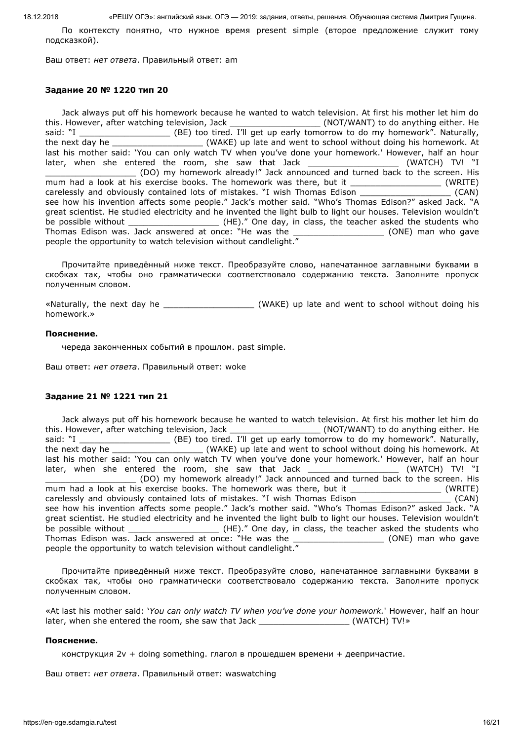По контексту понятно, что нужное время present simple (второе предложение служит тому подсказкой).

Ваш ответ: *нет ответа*. Правильный ответ: am

### **Задание 20 № 1220 тип 20**

Jack always put off his homework because he wanted to watch television. At first his mother let him do this. However, after watching television, Jack \_\_\_\_\_\_\_\_\_\_\_\_\_\_\_\_\_\_ (NOT/WANT) to do anything either. He said: "I \_\_\_\_\_\_\_\_\_\_\_\_\_\_\_\_\_\_ (BE) too tired. I'll get up early tomorrow to do my homework". Naturally, the next day he \_\_\_\_\_\_\_\_\_\_\_\_\_\_\_\_\_\_ (WAKE) up late and went to school without doing his homework. At last his mother said: 'You can only watch TV when you've done your homework.' However, half an hour later, when she entered the room, she saw that Jack \_\_\_\_\_\_\_\_\_\_\_\_\_\_\_\_\_\_\_\_\_\_\_\_\_\_\_\_ (WATCH) TV! "I (DO) my homework already!" Jack announced and turned back to the screen. His mum had a look at his exercise books. The homework was there, but it \_\_\_\_\_\_\_\_\_\_\_\_\_\_\_\_\_\_\_\_\_\_\_ (WRITE) carelessly and obviously contained lots of mistakes. "I wish Thomas Edison \_\_\_\_\_\_\_\_\_\_\_\_\_\_\_\_\_\_ (CAN) see how his invention affects some people." Jack's mother said. "Who's Thomas Edison?" asked Jack. "A great scientist. He studied electricity and he invented the light bulb to light our houses. Television wouldn't be possible without \_\_\_\_\_\_\_\_\_\_\_\_\_\_\_\_\_\_ (HE)." One day, in class, the teacher asked the students who Thomas Edison was. Jack answered at once: "He was the \_\_\_\_\_\_\_\_\_\_\_\_\_\_\_\_\_\_ (ONE) man who gave people the opportunity to watch television without candlelight."

Прочитайте приведённый ниже текст. Преобразуйте слово, напечатанное заглавными буквами в скобках так, чтобы оно грамматически соответствовало содержанию текста. Заполните пропуск полученным словом.

«Naturally, the next day he equal to the control (WAKE) up late and went to school without doing his homework.»

#### **Пояснение.**

череда законченных событий в прошлом. past simple.

Ваш ответ: *нет ответа*. Правильный ответ: woke

#### **Задание 21 № 1221 тип 21**

Jack always put off his homework because he wanted to watch television. At first his mother let him do<br>However, after watching television, Jack \_\_\_\_\_\_\_\_\_\_\_\_\_\_\_\_\_\_\_\_\_\_\_(NOT/WANT) to do anything either. He this. However, after watching television, Jack \_\_\_\_\_\_\_\_\_\_\_\_\_\_\_\_\_\_ (NOT/WANT) to do anything either. He said: "I \_\_\_\_\_\_\_\_\_\_\_\_\_\_\_\_\_\_ (BE) too tired. I'll get up early tomorrow to do my homework". Naturally, the next day he \_\_\_\_\_\_\_\_\_\_\_\_\_\_\_\_\_\_ (WAKE) up late and went to school without doing his homework. At last his mother said: 'You can only watch TV when you've done your homework.' However, half an hour<br>later, when she entered the room, she saw that Jack (WATCH) TV! "I later, when she entered the room, she saw that Jack  $\Box$ (DO) my homework already!" Jack announced and turned back to the screen. His mum had a look at his exercise books. The homework was there, but it \_\_\_\_\_\_\_\_\_\_\_\_\_\_\_\_\_\_\_\_\_\_ (WRITE) carelessly and obviously contained lots of mistakes. "I wish Thomas Edison \_\_\_\_\_\_\_\_\_\_\_\_\_\_\_\_\_\_ (CAN) see how his invention affects some people." Jack's mother said. "Who's Thomas Edison?" asked Jack. "A great scientist. He studied electricity and he invented the light bulb to light our houses. Television wouldn't<br>(HE)." One day, in class, the teacher asked the students who  $b =$  (HE)." One day, in class, the teacher asked the students who Thomas Edison was. Jack answered at once: "He was the \_\_\_\_\_\_\_\_\_\_\_\_\_\_\_\_\_\_ (ONE) man who gave people the opportunity to watch television without candlelight."

Прочитайте приведённый ниже текст. Преобразуйте слово, напечатанное заглавными буквами в скобках так, чтобы оно грамматически соответствовало содержанию текста. Заполните пропуск полученным словом.

«At last his mother said: '*You can only watch TV when you've done your homework.*' However, half an hour later, when she entered the room, she saw that Jack and the result of WATCH) TV!»

#### **Пояснение.**

конструкция 2v + doing something. глагол в прошедшем времени + деепричастие.

Ваш ответ: *нет ответа*. Правильный ответ: waswatching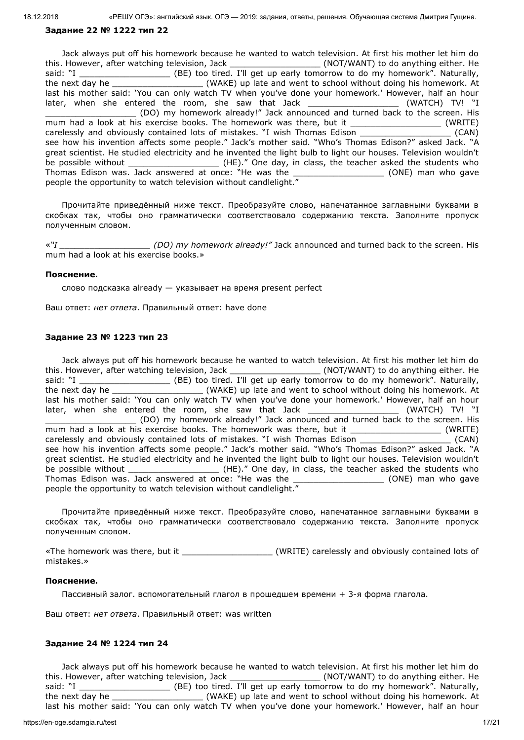## **Задание 22 № 1222 тип 22**

Jack always put off his homework because he wanted to watch television. At first his mother let him do this. However, after watching television, Jack \_\_\_\_\_\_\_\_\_\_\_\_\_\_\_\_\_\_ (NOT/WANT) to do anything either. He said: "I \_\_\_\_\_\_\_\_\_\_\_\_\_\_\_\_\_\_ (BE) too tired. I'll get up early tomorrow to do my homework". Naturally, the next day he \_\_\_\_\_\_\_\_\_\_\_\_\_\_\_\_\_\_ (WAKE) up late and went to school without doing his homework. At last his mother said: 'You can only watch TV when you've done your homework.' However, half an hour later, when she entered the room, she saw that Jack \_\_\_\_\_\_\_\_\_\_\_\_\_\_\_\_\_\_\_\_\_\_\_ (WATCH) TV! "I (DO) my homework already!" Jack announced and turned back to the screen. His mum had a look at his exercise books. The homework was there, but it \_\_\_\_\_\_\_\_\_\_\_\_\_\_\_\_\_\_\_\_\_\_\_\_\_ (WRITE) carelessly and obviously contained lots of mistakes. "I wish Thomas Edison \_\_\_\_\_\_\_\_\_\_\_\_\_\_\_\_\_\_ (CAN) see how his invention affects some people." Jack's mother said. "Who's Thomas Edison?" asked Jack. "A great scientist. He studied electricity and he invented the light bulb to light our houses. Television wouldn't be possible without \_\_\_\_\_\_\_\_\_\_\_\_\_\_\_\_\_\_ (HE)." One day, in class, the teacher asked the students who Thomas Edison was. Jack answered at once: "He was the \_\_\_\_\_\_\_\_\_\_\_\_\_\_\_\_\_\_ (ONE) man who gave people the opportunity to watch television without candlelight."

Прочитайте приведённый ниже текст. Преобразуйте слово, напечатанное заглавными буквами в скобках так, чтобы оно грамматически соответствовало содержанию текста. Заполните пропуск полученным словом.

«*"I \_\_\_\_\_\_\_\_\_\_\_\_\_\_\_\_\_\_ (DO) my homework already!"* Jack announced and turned back to the screen. His mum had a look at his exercise books.»

#### **Пояснение.**

слово подсказка already — указывает на время present perfect

Ваш ответ: *нет ответа*. Правильный ответ: have done

## **Задание 23 № 1223 тип 23**

Jack always put off his homework because he wanted to watch television. At first his mother let him do this. However, after watching television, Jack \_\_\_\_\_\_\_\_\_\_\_\_\_\_\_\_\_\_ (NOT/WANT) to do anything either. He said: "I \_\_\_\_\_\_\_\_\_\_\_\_\_\_\_\_\_\_ (BE) too tired. I'll get up early tomorrow to do my homework". Naturally, the next day he \_\_\_\_\_\_\_\_\_\_\_\_\_\_\_\_\_\_ (WAKE) up late and went to school without doing his homework. At last his mother said: 'You can only watch TV when you've done your homework.' However, half an hour later, when she entered the room, she saw that Jack \_\_\_\_\_\_\_\_\_\_\_\_\_\_\_\_\_\_\_\_\_\_\_ (WATCH) TV! "I \_\_\_\_\_\_\_\_\_\_\_\_\_\_\_\_\_\_ (DO) my homework already!" Jack announced and turned back to the screen. His mum had a look at his exercise books. The homework was there, but it \_\_\_\_\_\_\_\_\_\_\_\_\_\_\_\_\_\_\_\_\_\_\_ (WRITE) carelessly and obviously contained lots of mistakes. "I wish Thomas Edison \_\_\_\_\_\_\_\_\_\_\_\_\_\_\_\_\_\_ (CAN) see how his invention affects some people." Jack's mother said. "Who's Thomas Edison?" asked Jack. "A great scientist. He studied electricity and he invented the light bulb to light our houses. Television wouldn't be possible without \_\_\_\_\_\_\_\_\_\_\_\_\_\_\_\_\_\_ (HE)." One day, in class, the teacher asked the students who Thomas Edison was. Jack answered at once: "He was the \_\_\_\_\_\_\_\_\_\_\_\_\_\_\_\_\_\_ (ONE) man who gave people the opportunity to watch television without candlelight."

Прочитайте приведённый ниже текст. Преобразуйте слово, напечатанное заглавными буквами в скобках так, чтобы оно грамматически соответствовало содержанию текста. Заполните пропуск полученным словом.

«The homework was there, but it \_\_\_\_\_\_\_\_\_\_\_\_\_\_\_\_\_\_ (WRITE) carelessly and obviously contained lots of mistakes.»

#### **Пояснение.**

Пассивный залог. вспомогательный глагол в прошедшем времени + 3-я форма глагола.

Ваш ответ: *нет ответа*. Правильный ответ: was written

#### **Задание 24 № 1224 тип 24**

Jack always put off his homework because he wanted to watch television. At first his mother let him do this. However, after watching television, Jack \_\_\_\_\_\_\_\_\_\_\_\_\_\_\_\_\_\_ (NOT/WANT) to do anything either. He said: "I \_\_\_\_\_\_\_\_\_\_\_\_\_\_\_\_\_\_\_\_\_\_\_\_\_ (BE) too tired. I'll get up early tomorrow to do my homework". Naturally, the next day he \_\_\_\_\_\_\_\_\_\_\_\_\_\_\_\_\_\_ (WAKE) up late and went to school without doing his homework. At last his mother said: 'You can only watch TV when you've done your homework.' However, half an hour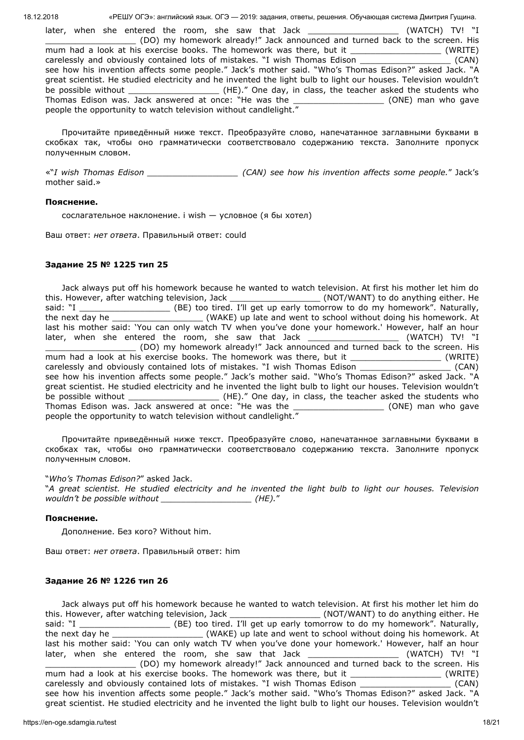later, when she entered the room, she saw that Jack \_\_\_\_\_\_\_\_\_\_\_\_\_\_\_\_\_\_\_\_\_\_\_\_\_\_\_\_ (WATCH) TV! "I \_\_\_\_\_\_\_\_\_\_\_\_\_\_\_\_\_\_ (DO) my homework already!" Jack announced and turned back to the screen. His mum had a look at his exercise books. The homework was there, but it \_\_\_\_\_\_\_\_\_\_\_\_\_\_\_\_\_\_\_\_\_\_ (WRITE) carelessly and obviously contained lots of mistakes. "I wish Thomas Edison \_\_\_\_\_\_\_\_\_\_\_\_\_\_\_\_\_\_ (CAN) see how his invention affects some people." Jack's mother said. "Who's Thomas Edison?" asked Jack. "A great scientist. He studied electricity and he invented the light bulb to light our houses. Television wouldn't be possible without \_\_\_\_\_\_\_\_\_\_\_\_\_\_\_\_\_\_ (HE)." One day, in class, the teacher asked the students who Thomas Edison was. Jack answered at once: "He was the \_\_\_\_\_\_\_\_\_\_\_\_\_\_\_\_\_\_\_\_\_\_\_\_\_(ONE) man who gave people the opportunity to watch television without candlelight."

Прочитайте приведённый ниже текст. Преобразуйте слово, напечатанное заглавными буквами в скобках так, чтобы оно грамматически соответствовало содержанию текста. Заполните пропуск полученным словом.

«"*I wish Thomas Edison \_\_\_\_\_\_\_\_\_\_\_\_\_\_\_\_\_\_ (CAN) see how his invention affects some people.*" Jack's mother said.»

#### **Пояснение.**

сослагательное наклонение. i wish — условное (я бы хотел)

Ваш ответ: *нет ответа*. Правильный ответ: could

## **Задание 25 № 1225 тип 25**

Jack always put off his homework because he wanted to watch television. At first his mother let him do this. However, after watching television, Jack \_\_\_\_\_\_\_\_\_\_\_\_\_\_\_\_\_\_ (NOT/WANT) to do anything either. He said: "I \_\_\_\_\_\_\_\_\_\_\_\_\_\_\_\_\_\_\_\_\_\_\_\_\_\_ (BE) too tired. I'll get up early tomorrow to do my homework". Naturally, the next day he \_\_\_\_\_\_\_\_\_\_\_\_\_\_\_\_\_\_ (WAKE) up late and went to school without doing his homework. At last his mother said: 'You can only watch TV when you've done your homework.' However, half an hour later, when she entered the room, she saw that Jack \_\_\_\_\_\_\_\_\_\_\_\_\_\_\_\_\_\_ (WATCH) TV! "I \_\_\_\_\_\_\_\_\_\_\_\_\_\_\_\_\_\_ (DO) my homework already!" Jack announced and turned back to the screen. His mum had a look at his exercise books. The homework was there, but it \_\_\_\_\_\_\_\_\_\_\_\_\_\_\_\_\_\_\_\_\_\_\_ (WRITE) carelessly and obviously contained lots of mistakes. "I wish Thomas Edison \_\_\_\_\_\_\_\_\_\_\_\_\_\_\_\_\_\_ (CAN) see how his invention affects some people." Jack's mother said. "Who's Thomas Edison?" asked Jack. "A great scientist. He studied electricity and he invented the light bulb to light our houses. Television wouldn't be possible without \_\_\_\_\_\_\_\_\_\_\_\_\_\_\_\_\_\_ (HE)." One day, in class, the teacher asked the students who Thomas Edison was. Jack answered at once: "He was the \_\_\_\_\_\_\_\_\_\_\_\_\_\_\_\_\_\_\_\_\_\_\_\_\_(ONE) man who gave people the opportunity to watch television without candlelight."

Прочитайте приведённый ниже текст. Преобразуйте слово, напечатанное заглавными буквами в скобках так, чтобы оно грамматически соответствовало содержанию текста. Заполните пропуск полученным словом.

"*Who's Thomas Edison?*" asked Jack.

"*A great scientist. He studied electricity and he invented the light bulb to light our houses. Television wouldn't be possible without \_\_\_\_\_\_\_\_\_\_\_\_\_\_\_\_\_\_ (HE).*"

#### **Пояснение.**

Дополнение. Без кого? Without him.

Ваш ответ: *нет ответа*. Правильный ответ: him

#### **Задание 26 № 1226 тип 26**

Jack always put off his homework because he wanted to watch television. At first his mother let him do this. However, after watching television, Jack \_\_\_\_\_\_\_\_\_\_\_\_\_\_\_\_\_\_ (NOT/WANT) to do anything either. He said: "I \_\_\_\_\_\_\_\_\_\_\_\_\_\_\_\_\_\_\_\_\_\_\_\_\_\_ (BE) too tired. I'll get up early tomorrow to do my homework". Naturally, the next day he \_\_\_\_\_\_\_\_\_\_\_\_\_\_\_\_\_\_ (WAKE) up late and went to school without doing his homework. At last his mother said: 'You can only watch TV when you've done your homework.' However, half an hour later, when she entered the room, she saw that Jack \_\_\_\_\_\_\_\_\_\_\_\_\_\_\_\_\_\_ (WATCH) TV! "I \_\_\_\_\_\_\_\_\_\_\_\_\_\_\_\_\_\_ (DO) my homework already!" Jack announced and turned back to the screen. His mum had a look at his exercise books. The homework was there, but it \_\_\_\_\_\_\_\_\_\_\_\_\_\_\_\_\_\_\_\_\_\_ (WRITE) carelessly and obviously contained lots of mistakes. "I wish Thomas Edison \_\_\_\_\_\_\_\_\_\_\_\_\_\_\_\_\_\_\_\_\_\_\_\_ (CAN) see how his invention affects some people." Jack's mother said. "Who's Thomas Edison?" asked Jack. "A great scientist. He studied electricity and he invented the light bulb to light our houses. Television wouldn't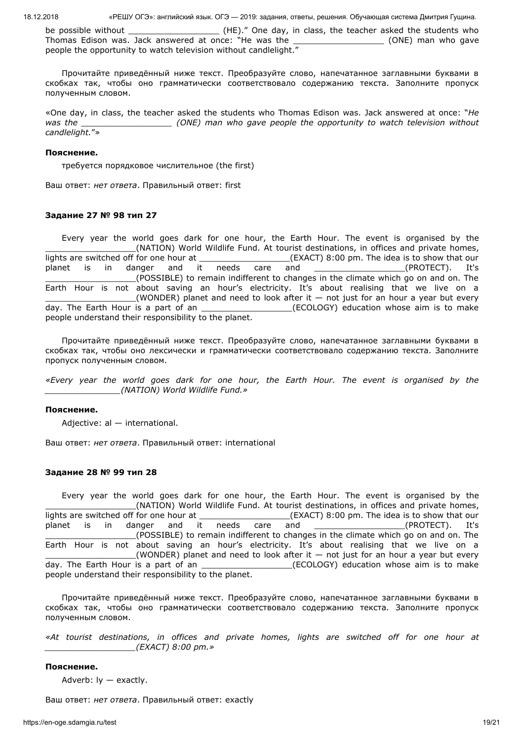be possible without \_\_\_\_\_\_\_\_\_\_\_\_\_\_\_\_\_\_ (HE)." One day, in class, the teacher asked the students who Thomas Edison was. Jack answered at once: "He was the \_\_\_\_\_\_\_\_\_\_\_\_\_\_\_\_\_\_ (ONE) man who gave people the opportunity to watch television without candlelight."

Прочитайте приведённый ниже текст. Преобразуйте слово, напечатанное заглавными буквами в скобках так, чтобы оно грамматически соответствовало содержанию текста. Заполните пропуск полученным словом.

«One day, in class, the teacher asked the students who Thomas Edison was. Jack answered at once: "*He was the \_\_\_\_\_\_\_\_\_\_\_\_\_\_\_\_\_\_ (ONE) man who gave people the opportunity to watch television without candlelight.*"»

### **Пояснение.**

требуется порядковое числительное (the first)

Ваш ответ: *нет ответа*. Правильный ответ: first

## **Задание 27 № 98 тип 27**

Every year the world goes dark for one hour, the Earth Hour. The event is organised by the \_\_\_\_\_\_\_\_\_\_\_\_\_\_\_\_\_\_(NATION) World Wildlife Fund. At tourist destinations, in offices and private homes, lights are switched off for one hour at \_\_\_\_\_\_\_\_\_\_\_\_\_\_\_\_\_\_\_\_\_(EXACT) 8:00 pm. The idea is to show that our planet is in danger and it needs care and **the same and the contract (PROTECT)**. It's \_\_\_\_\_\_\_\_\_\_\_\_\_\_\_\_\_\_(POSSIBLE) to remain indifferent to changes in the climate which go on and on. The Earth Hour is not about saving an hour's electricity. It's about realising that we live on a  $(MONDER)$  planet and need to look after it  $-$  not just for an hour a year but every day. The Earth Hour is a part of an \_\_\_\_\_\_\_\_\_\_\_\_\_\_\_\_\_\_\_(ECOLOGY) education whose aim is to make people understand their responsibility to the planet.

Прочитайте приведённый ниже текст. Преобразуйте слово, напечатанное заглавными буквами в скобках так, чтобы оно лексически и грамматически соответствовало содержанию текста. Заполните пропуск полученным словом.

*«Every year the world goes dark for one hour, the Earth Hour. The event is organised by the \_\_\_\_\_\_\_\_\_\_\_\_\_\_\_(NATION) World Wildlife Fund.»*

#### **Пояснение.**

Adjective: al — international.

Ваш ответ: *нет ответа*. Правильный ответ: international

#### **Задание 28 № 99 тип 28**

Every year the world goes dark for one hour, the Earth Hour. The event is organised by the \_\_\_\_\_\_\_\_\_\_\_\_\_\_\_\_\_\_(NATION) World Wildlife Fund. At tourist destinations, in offices and private homes, lights are switched off for one hour at  $(EXACT) 8:00$  pm. The idea is to show that our planet is in danger and it needs care and the state of the contract (PROTECT). It's \_\_\_\_\_\_\_\_\_\_\_\_\_\_\_\_\_\_(POSSIBLE) to remain indifferent to changes in the climate which go on and on. The Earth Hour is not about saving an hour's electricity. It's about realising that we live on a (WONDER) planet and need to look after it  $-$  not just for an hour a year but every day. The Earth Hour is a part of an **Example 20** (ECOLOGY) education whose aim is to make people understand their responsibility to the planet.

Прочитайте приведённый ниже текст. Преобразуйте слово, напечатанное заглавными буквами в скобках так, чтобы оно грамматически соответствовало содержанию текста. Заполните пропуск полученным словом.

*«At tourist destinations, in offices and private homes, lights are switched off for one hour at \_\_\_\_\_\_\_\_\_\_\_\_\_\_\_\_\_\_(EXACT) 8:00 pm.»*

#### **Пояснение.**

Adverb:  $Iy$  – exactly.

Ваш ответ: *нет ответа*. Правильный ответ: exactly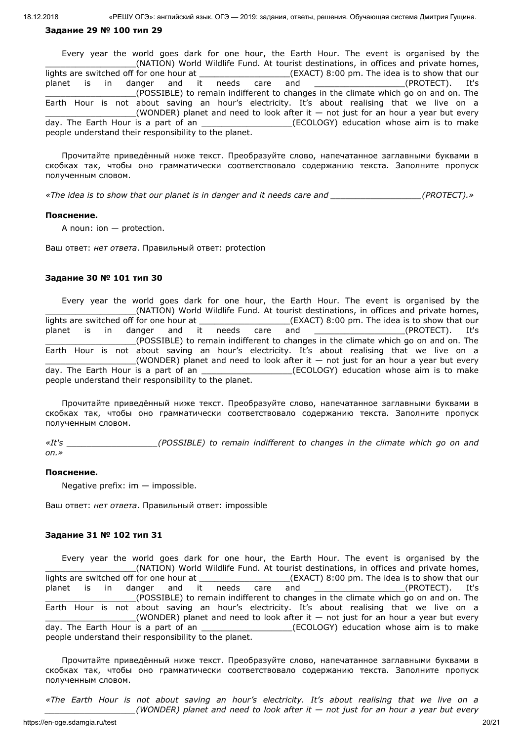#### **Задание 29 № 100 тип 29**

Every year the world goes dark for one hour, the Earth Hour. The event is organised by the \_\_\_\_\_\_\_\_\_\_\_\_\_\_\_\_\_\_(NATION) World Wildlife Fund. At tourist destinations, in offices and private homes, lights are switched off for one hour at  $(EXACT) 8:00$  pm. The idea is to show that our planet is in danger and it needs care and **the same of the care in the same (PROTECT)**. It's (POSSIBLE) to remain indifferent to changes in the climate which go on and on. The Earth Hour is not about saving an hour's electricity. It's about realising that we live on a (WONDER) planet and need to look after it  $-$  not just for an hour a year but every day. The Earth Hour is a part of an **Example 20** (ECOLOGY) education whose aim is to make people understand their responsibility to the planet.

Прочитайте приведённый ниже текст. Преобразуйте слово, напечатанное заглавными буквами в скобках так, чтобы оно грамматически соответствовало содержанию текста. Заполните пропуск полученным словом.

*«The idea is to show that our planet is in danger and it needs care and \_\_\_\_\_\_\_\_\_\_\_\_\_\_\_\_\_\_(PROTECT).»*

#### **Пояснение.**

A noun: ion — protection.

Ваш ответ: *нет ответа*. Правильный ответ: protection

#### **Задание 30 № 101 тип 30**

Every year the world goes dark for one hour, the Earth Hour. The event is organised by the \_\_\_\_\_\_\_\_\_\_\_\_\_\_\_\_\_\_(NATION) World Wildlife Fund. At tourist destinations, in offices and private homes, lights are switched off for one hour at \_\_\_\_\_\_\_\_\_\_\_\_\_\_\_\_\_\_\_\_\_(EXACT) 8:00 pm. The idea is to show that our planet is in danger and it needs care and \_\_\_\_\_\_\_\_\_\_\_\_\_\_\_\_\_\_(PROTECT). It's \_\_\_\_\_\_\_\_\_\_\_\_\_\_\_\_\_\_(POSSIBLE) to remain indifferent to changes in the climate which go on and on. The Earth Hour is not about saving an hour's electricity. It's about realising that we live on a  $(MONDER)$  planet and need to look after it  $-$  not just for an hour a year but every day. The Earth Hour is a part of an \_\_\_\_\_\_\_\_\_\_\_\_\_\_\_\_\_\_\_\_(ECOLOGY) education whose aim is to make people understand their responsibility to the planet.

Прочитайте приведённый ниже текст. Преобразуйте слово, напечатанное заглавными буквами в скобках так, чтобы оно грамматически соответствовало содержанию текста. Заполните пропуск полученным словом.

*«It's \_\_\_\_\_\_\_\_\_\_\_\_\_\_\_\_\_\_(POSSIBLE) to remain indifferent to changes in the climate which go on and on.»*

#### **Пояснение.**

Negative prefix:  $im - imposible$ .

Ваш ответ: *нет ответа*. Правильный ответ: impossible

#### **Задание 31 № 102 тип 31**

Every year the world goes dark for one hour, the Earth Hour. The event is organised by the \_\_\_\_\_\_\_\_\_\_\_\_\_\_\_\_\_\_(NATION) World Wildlife Fund. At tourist destinations, in offices and private homes, lights are switched off for one hour at  $(EXACT) 8:00$  pm. The idea is to show that our planet is in danger and it needs care and **the same of the care in the case of the case** (PROTECT). It's \_\_\_\_\_\_\_\_\_\_\_\_\_\_\_\_\_\_(POSSIBLE) to remain indifferent to changes in the climate which go on and on. The Earth Hour is not about saving an hour's electricity. It's about realising that we live on a  $\frac{1}{100}$  (WONDER) planet and need to look after it  $-$  not just for an hour a year but every day. The Earth Hour is a part of an  $\frac{1}{100}$  (ECOLOGY) education whose aim is to make  $\Box$ (ECOLOGY) education whose aim is to make people understand their responsibility to the planet.

Прочитайте приведённый ниже текст. Преобразуйте слово, напечатанное заглавными буквами в скобках так, чтобы оно грамматически соответствовало содержанию текста. Заполните пропуск полученным словом.

*«The Earth Hour is not about saving an hour's electricity. It's about realising that we live on a \_\_\_\_\_\_\_\_\_\_\_\_\_\_\_\_\_\_(WONDER) planet and need to look after it — not just for an hour a year but every*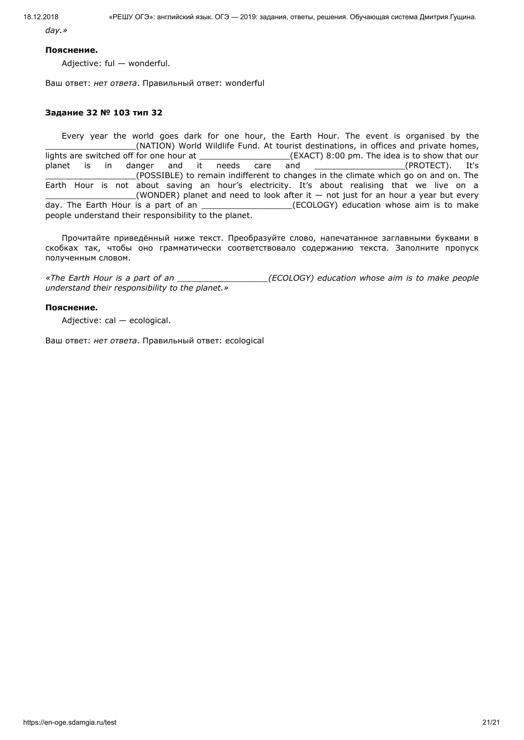*day.»*

#### **Пояснение.**

Adjective: ful — wonderful.

Ваш ответ: *нет ответа*. Правильный ответ: wonderful

## **Задание 32 № 103 тип 32**

Every year the world goes dark for one hour, the Earth Hour. The event is organised by the \_\_\_\_\_\_\_\_\_\_\_\_\_\_\_\_\_\_(NATION) World Wildlife Fund. At tourist destinations, in offices and private homes, lights are switched off for one hour at \_\_\_\_\_\_\_\_\_\_\_\_\_\_\_\_\_\_\_\_\_\_(EXACT) 8:00 pm. The idea is to show that our planet is in danger and it needs care and \_\_\_\_\_\_\_\_\_\_\_\_\_\_\_\_\_\_(PROTECT). It's \_\_\_\_\_\_\_\_\_\_\_\_\_\_\_\_\_\_(POSSIBLE) to remain indifferent to changes in the climate which go on and on. The Earth Hour is not about saving an hour's electricity. It's about realising that we live on a  $(MONDER)$  planet and need to look after it  $-$  not just for an hour a year but every day. The Earth Hour is a part of an \_\_\_\_\_\_\_\_\_\_\_\_\_\_\_\_\_\_\_(ECOLOGY) education whose aim is to make people understand their responsibility to the planet.

Прочитайте приведённый ниже текст. Преобразуйте слово, напечатанное заглавными буквами в скобках так, чтобы оно грамматически соответствовало содержанию текста. Заполните пропуск полученным словом.

*«The Earth Hour is a part of an \_\_\_\_\_\_\_\_\_\_\_\_\_\_\_\_\_\_(ECOLOGY) education whose aim is to make people understand their responsibility to the planet.»*

## **Пояснение.**

Adjective: cal — ecological.

Ваш ответ: *нет ответа*. Правильный ответ: ecological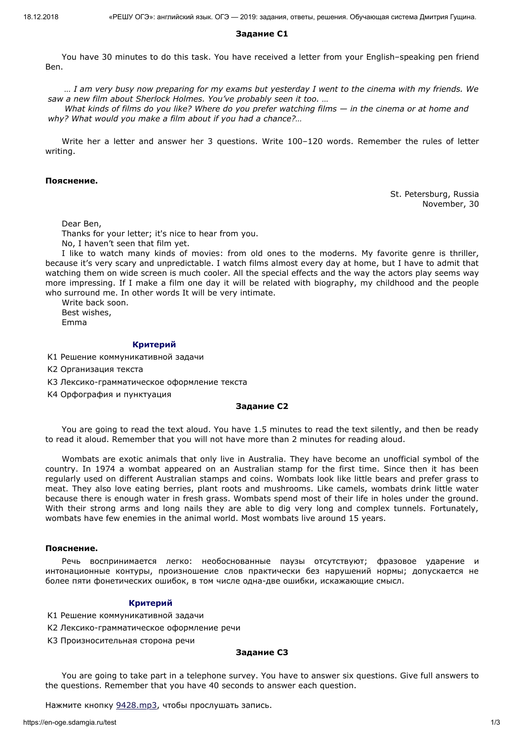## **Задание С1**

You have 30 minutes to do this task. You have received a letter from your English–speaking pen friend Ben.

*… I am very busy now preparing for my exams but yesterday I went to the cinema with my friends. We saw a new film about Sherlock Holmes. You've probably seen it too. …*

*What kinds of films do you like? Where do you prefer watching films — in the cinema or at home and why? What would you make a film about if you had a chance?…*

Write her a letter and answer her 3 questions. Write 100–120 words. Remember the rules of letter writing.

## **Пояснение.**

St. Petersburg, Russia November, 30

Dear Ben,

Thanks for your letter; it's nice to hear from you.

No, I haven't seen that film yet.

I like to watch many kinds of movies: from old ones to the moderns. My favorite genre is thriller, because it's very scary and unpredictable. I watch films almost every day at home, but I have to admit that watching them on wide screen is much cooler. All the special effects and the way the actors play seems way more impressing. If I make a film one day it will be related with biography, my childhood and the people who surround me. In other words It will be very intimate.

Write back soon. Best wishes, Emma

#### **Критерий**

K1 Решение коммуникативной задачи

K2 Организация текста

K3 Лексико-грамматическое оформление текста

K4 Орфография и пунктуация

#### **Задание С2**

You are going to read the text aloud. You have 1.5 minutes to read the text silently, and then be ready to read it aloud. Remember that you will not have more than 2 minutes for reading aloud.

Wombats are exotic animals that only live in Australia. They have become an unofficial symbol of the country. In 1974 a wombat appeared on an Australian stamp for the first time. Since then it has been regularly used on different Australian stamps and coins. Wombats look like little bears and prefer grass to meat. They also love eating berries, plant roots and mushrooms. Like camels, wombats drink little water because there is enough water in fresh grass. Wombats spend most of their life in holes under the ground. With their strong arms and long nails they are able to dig very long and complex tunnels. Fortunately, wombats have few enemies in the animal world. Most wombats live around 15 years.

#### **Пояснение.**

Речь воспринимается легко: необоснованные паузы отсутствуют; фразовое ударение и интонационные контуры, произношение слов практически без нарушений нормы; допускается не более пяти фонетических ошибок, в том числе одна-две ошибки, искажающие смысл.

#### **Критерий**

K1 Решение коммуникативной задачи

K2 Лексико-грамматическое оформление речи

K3 Произносительная сторона речи

#### **Задание С3**

You are going to take part in a telephone survey. You have to answer six questions. Give full answers to the questions. Remember that you have 40 seconds to answer each question.

Нажмите кнопку [9428.mp3](https://en-oge.sdamgia.ru/files/9428.mp3), чтобы прослушать запись.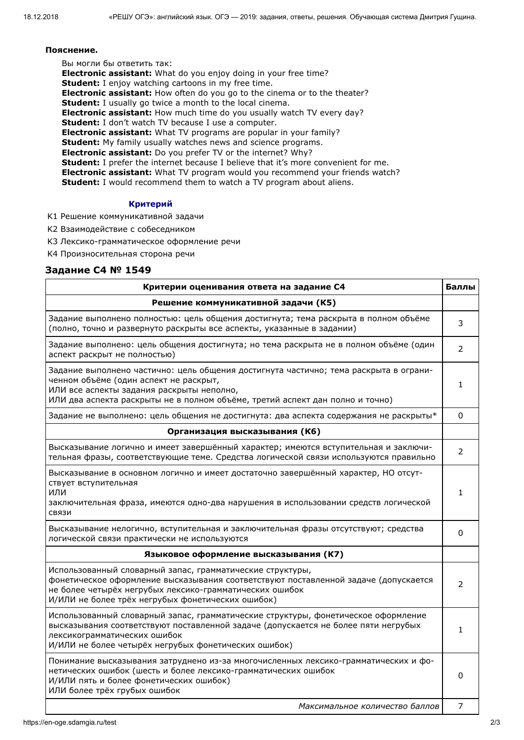## **Пояснение.**

Вы могли бы ответить так: **Electronic assistant:** What do you enjoy doing in your free time? **Student:** I enjoy watching cartoons in my free time. **Electronic assistant:** How often do you go to the cinema or to the theater? **Student:** I usually go twice a month to the local cinema. **Electronic assistant:** How much time do you usually watch TV every day? **Student:** I don't watch TV because I use a computer. **Electronic assistant:** What TV programs are popular in your family? **Student:** My family usually watches news and science programs. **Electronic assistant:** Do you prefer TV or the internet? Why? **Student:** I prefer the internet because I believe that it's more convenient for me. **Electronic assistant:** What TV program would you recommend your friends watch? **Student:** I would recommend them to watch a TV program about aliens.

## **Критерий**

- K1 Решение коммуникативной задачи
- K2 Взаимодействие с собеседником
- K3 Лексико-грамматическое оформление речи
- K4 Произносительная сторона речи

## **Задание С4 № 1549**

| Критерии оценивания ответа на задание С4                                                                                                                                                                                                                         |                |  |  |  |
|------------------------------------------------------------------------------------------------------------------------------------------------------------------------------------------------------------------------------------------------------------------|----------------|--|--|--|
| Решение коммуникативной задачи (К5)                                                                                                                                                                                                                              |                |  |  |  |
| Задание выполнено полностью: цель общения достигнута; тема раскрыта в полном объёме<br>(полно, точно и развернуто раскрыты все аспекты, указанные в задании)                                                                                                     | 3              |  |  |  |
| Задание выполнено: цель общения достигнута; но тема раскрыта не в полном объёме (один<br>аспект раскрыт не полностью)                                                                                                                                            | $\overline{2}$ |  |  |  |
| Задание выполнено частично: цель общения достигнута частично; тема раскрыта в ограни-<br>ченном объёме (один аспект не раскрыт,<br>ИЛИ все аспекты задания раскрыты неполно,<br>ИЛИ два аспекта раскрыты не в полном объёме, третий аспект дан полно и точно)    | 1              |  |  |  |
| Задание не выполнено: цель общения не достигнута: два аспекта содержания не раскрыты*                                                                                                                                                                            | $\Omega$       |  |  |  |
| Организация высказывания (К6)                                                                                                                                                                                                                                    |                |  |  |  |
| Высказывание логично и имеет завершённый характер; имеются вступительная и заключи-<br>тельная фразы, соответствующие теме. Средства логической связи используются правильно                                                                                     | $\overline{2}$ |  |  |  |
| Высказывание в основном логично и имеет достаточно завершённый характер, НО отсут-<br>ствует вступительная<br>ИЛИ<br>заключительная фраза, имеются одно-два нарушения в использовании средств логической<br>СВЯЗИ                                                | 1              |  |  |  |
| Высказывание нелогично, вступительная и заключительная фразы отсутствуют; средства<br>логической связи практически не используются                                                                                                                               | 0              |  |  |  |
| Языковое оформление высказывания (К7)                                                                                                                                                                                                                            |                |  |  |  |
| Использованный словарный запас, грамматические структуры,<br>фонетическое оформление высказывания соответствуют поставленной задаче (допускается<br>не более четырёх негрубых лексико-грамматических ошибок<br>И/ИЛИ не более трёх негрубых фонетических ошибок) | $\overline{2}$ |  |  |  |
| Использованный словарный запас, грамматические структуры, фонетическое оформление<br>высказывания соответствуют поставленной задаче (допускается не более пяти негрубых<br>лексикограмматических ошибок<br>И/ИЛИ не более четырёх негрубых фонетических ошибок)  | 1              |  |  |  |
| Понимание высказывания затруднено из-за многочисленных лексико-грамматических и фо-<br>нетических ошибок (шесть и более лексико-грамматических ошибок<br>И/ИЛИ пять и более фонетических ошибок)<br>ИЛИ более трёх грубых ошибок                                 | 0              |  |  |  |
| Максимальное количество баллов                                                                                                                                                                                                                                   | $\overline{7}$ |  |  |  |